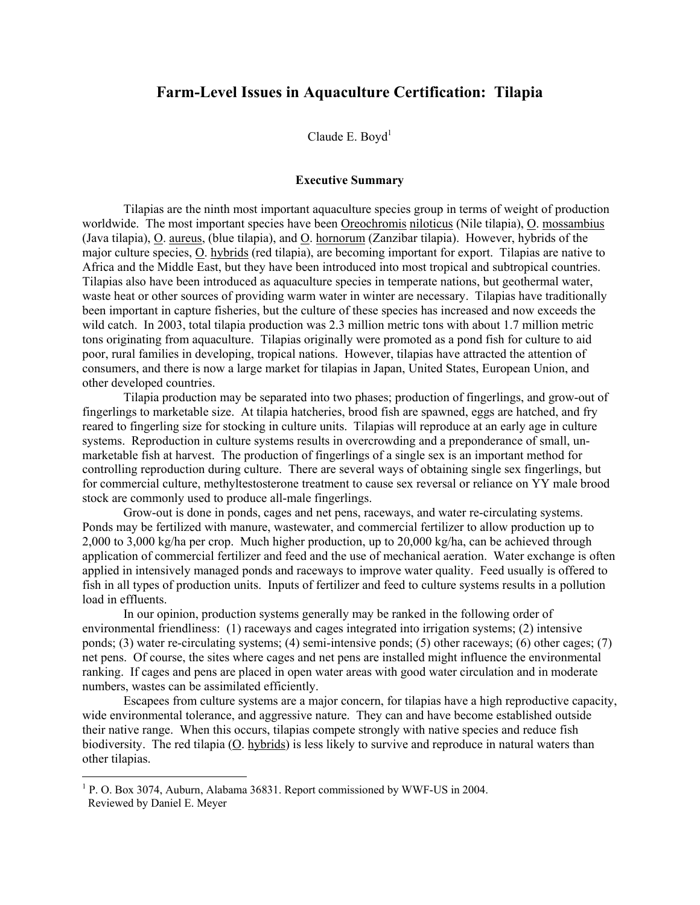# Farm-Level Issues in Aquaculture Certification: Tilapia

Claude E. Boyd $<sup>1</sup>$ </sup>

## Executive Summary

 Tilapias are the ninth most important aquaculture species group in terms of weight of production worldwide. The most important species have been Oreochromis niloticus (Nile tilapia), O. mossambius (Java tilapia), O. aureus, (blue tilapia), and O. hornorum (Zanzibar tilapia). However, hybrids of the major culture species, O. hybrids (red tilapia), are becoming important for export. Tilapias are native to Africa and the Middle East, but they have been introduced into most tropical and subtropical countries. Tilapias also have been introduced as aquaculture species in temperate nations, but geothermal water, waste heat or other sources of providing warm water in winter are necessary. Tilapias have traditionally been important in capture fisheries, but the culture of these species has increased and now exceeds the wild catch. In 2003, total tilapia production was 2.3 million metric tons with about 1.7 million metric tons originating from aquaculture. Tilapias originally were promoted as a pond fish for culture to aid poor, rural families in developing, tropical nations. However, tilapias have attracted the attention of consumers, and there is now a large market for tilapias in Japan, United States, European Union, and other developed countries.

 Tilapia production may be separated into two phases; production of fingerlings, and grow-out of fingerlings to marketable size. At tilapia hatcheries, brood fish are spawned, eggs are hatched, and fry reared to fingerling size for stocking in culture units. Tilapias will reproduce at an early age in culture systems. Reproduction in culture systems results in overcrowding and a preponderance of small, unmarketable fish at harvest. The production of fingerlings of a single sex is an important method for controlling reproduction during culture. There are several ways of obtaining single sex fingerlings, but for commercial culture, methyltestosterone treatment to cause sex reversal or reliance on YY male brood stock are commonly used to produce all-male fingerlings.

 Grow-out is done in ponds, cages and net pens, raceways, and water re-circulating systems. Ponds may be fertilized with manure, wastewater, and commercial fertilizer to allow production up to 2,000 to 3,000 kg/ha per crop. Much higher production, up to 20,000 kg/ha, can be achieved through application of commercial fertilizer and feed and the use of mechanical aeration. Water exchange is often applied in intensively managed ponds and raceways to improve water quality. Feed usually is offered to fish in all types of production units. Inputs of fertilizer and feed to culture systems results in a pollution load in effluents.

 In our opinion, production systems generally may be ranked in the following order of environmental friendliness: (1) raceways and cages integrated into irrigation systems; (2) intensive ponds; (3) water re-circulating systems; (4) semi-intensive ponds; (5) other raceways; (6) other cages; (7) net pens. Of course, the sites where cages and net pens are installed might influence the environmental ranking. If cages and pens are placed in open water areas with good water circulation and in moderate numbers, wastes can be assimilated efficiently.

Escapees from culture systems are a major concern, for tilapias have a high reproductive capacity, wide environmental tolerance, and aggressive nature. They can and have become established outside their native range. When this occurs, tilapias compete strongly with native species and reduce fish biodiversity. The red tilapia (O. hybrids) is less likely to survive and reproduce in natural waters than other tilapias.

 $\overline{a}$ 

<sup>&</sup>lt;sup>1</sup> P. O. Box 3074, Auburn, Alabama 36831. Report commissioned by WWF-US in 2004. Reviewed by Daniel E. Meyer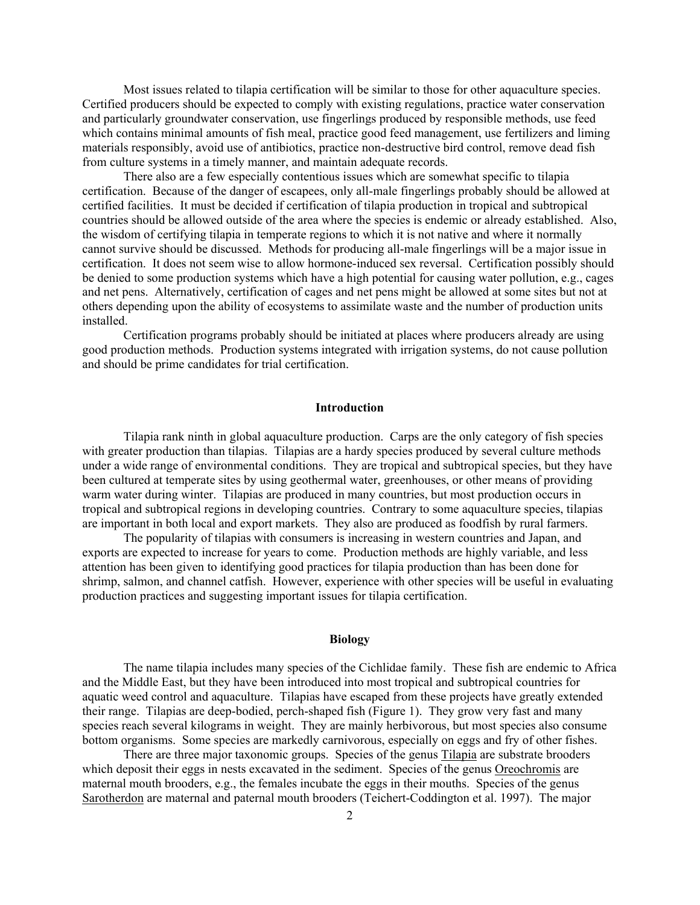Most issues related to tilapia certification will be similar to those for other aquaculture species. Certified producers should be expected to comply with existing regulations, practice water conservation and particularly groundwater conservation, use fingerlings produced by responsible methods, use feed which contains minimal amounts of fish meal, practice good feed management, use fertilizers and liming materials responsibly, avoid use of antibiotics, practice non-destructive bird control, remove dead fish from culture systems in a timely manner, and maintain adequate records.

There also are a few especially contentious issues which are somewhat specific to tilapia certification. Because of the danger of escapees, only all-male fingerlings probably should be allowed at certified facilities. It must be decided if certification of tilapia production in tropical and subtropical countries should be allowed outside of the area where the species is endemic or already established. Also, the wisdom of certifying tilapia in temperate regions to which it is not native and where it normally cannot survive should be discussed. Methods for producing all-male fingerlings will be a major issue in certification. It does not seem wise to allow hormone-induced sex reversal. Certification possibly should be denied to some production systems which have a high potential for causing water pollution, e.g., cages and net pens. Alternatively, certification of cages and net pens might be allowed at some sites but not at others depending upon the ability of ecosystems to assimilate waste and the number of production units installed.

Certification programs probably should be initiated at places where producers already are using good production methods. Production systems integrated with irrigation systems, do not cause pollution and should be prime candidates for trial certification.

# Introduction

 Tilapia rank ninth in global aquaculture production. Carps are the only category of fish species with greater production than tilapias. Tilapias are a hardy species produced by several culture methods under a wide range of environmental conditions. They are tropical and subtropical species, but they have been cultured at temperate sites by using geothermal water, greenhouses, or other means of providing warm water during winter. Tilapias are produced in many countries, but most production occurs in tropical and subtropical regions in developing countries. Contrary to some aquaculture species, tilapias are important in both local and export markets. They also are produced as foodfish by rural farmers.

 The popularity of tilapias with consumers is increasing in western countries and Japan, and exports are expected to increase for years to come. Production methods are highly variable, and less attention has been given to identifying good practices for tilapia production than has been done for shrimp, salmon, and channel catfish. However, experience with other species will be useful in evaluating production practices and suggesting important issues for tilapia certification.

## Biology

 The name tilapia includes many species of the Cichlidae family. These fish are endemic to Africa and the Middle East, but they have been introduced into most tropical and subtropical countries for aquatic weed control and aquaculture. Tilapias have escaped from these projects have greatly extended their range. Tilapias are deep-bodied, perch-shaped fish (Figure 1). They grow very fast and many species reach several kilograms in weight. They are mainly herbivorous, but most species also consume bottom organisms. Some species are markedly carnivorous, especially on eggs and fry of other fishes.

There are three major taxonomic groups. Species of the genus Tilapia are substrate brooders which deposit their eggs in nests excavated in the sediment. Species of the genus Oreochromis are maternal mouth brooders, e.g., the females incubate the eggs in their mouths. Species of the genus Sarotherdon are maternal and paternal mouth brooders (Teichert-Coddington et al. 1997). The major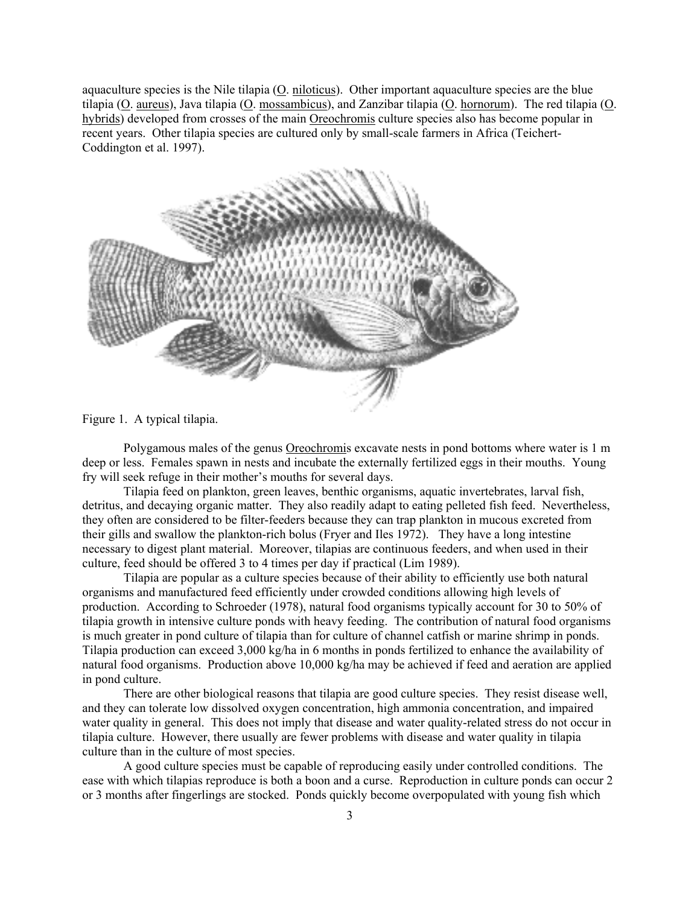aquaculture species is the Nile tilapia (O. niloticus). Other important aquaculture species are the blue tilapia (O. aureus), Java tilapia (O. mossambicus), and Zanzibar tilapia (O. hornorum). The red tilapia (O. hybrids) developed from crosses of the main Oreochromis culture species also has become popular in recent years. Other tilapia species are cultured only by small-scale farmers in Africa (Teichert-Coddington et al. 1997).



Figure 1. A typical tilapia.

 Polygamous males of the genus Oreochromis excavate nests in pond bottoms where water is 1 m deep or less. Females spawn in nests and incubate the externally fertilized eggs in their mouths. Young fry will seek refuge in their mother's mouths for several days.

 Tilapia feed on plankton, green leaves, benthic organisms, aquatic invertebrates, larval fish, detritus, and decaying organic matter. They also readily adapt to eating pelleted fish feed. Nevertheless, they often are considered to be filter-feeders because they can trap plankton in mucous excreted from their gills and swallow the plankton-rich bolus (Fryer and Iles 1972). They have a long intestine necessary to digest plant material. Moreover, tilapias are continuous feeders, and when used in their culture, feed should be offered 3 to 4 times per day if practical (Lim 1989).

 Tilapia are popular as a culture species because of their ability to efficiently use both natural organisms and manufactured feed efficiently under crowded conditions allowing high levels of production. According to Schroeder (1978), natural food organisms typically account for 30 to 50% of tilapia growth in intensive culture ponds with heavy feeding. The contribution of natural food organisms is much greater in pond culture of tilapia than for culture of channel catfish or marine shrimp in ponds. Tilapia production can exceed 3,000 kg/ha in 6 months in ponds fertilized to enhance the availability of natural food organisms. Production above 10,000 kg/ha may be achieved if feed and aeration are applied in pond culture.

 There are other biological reasons that tilapia are good culture species. They resist disease well, and they can tolerate low dissolved oxygen concentration, high ammonia concentration, and impaired water quality in general. This does not imply that disease and water quality-related stress do not occur in tilapia culture. However, there usually are fewer problems with disease and water quality in tilapia culture than in the culture of most species.

 A good culture species must be capable of reproducing easily under controlled conditions. The ease with which tilapias reproduce is both a boon and a curse. Reproduction in culture ponds can occur 2 or 3 months after fingerlings are stocked. Ponds quickly become overpopulated with young fish which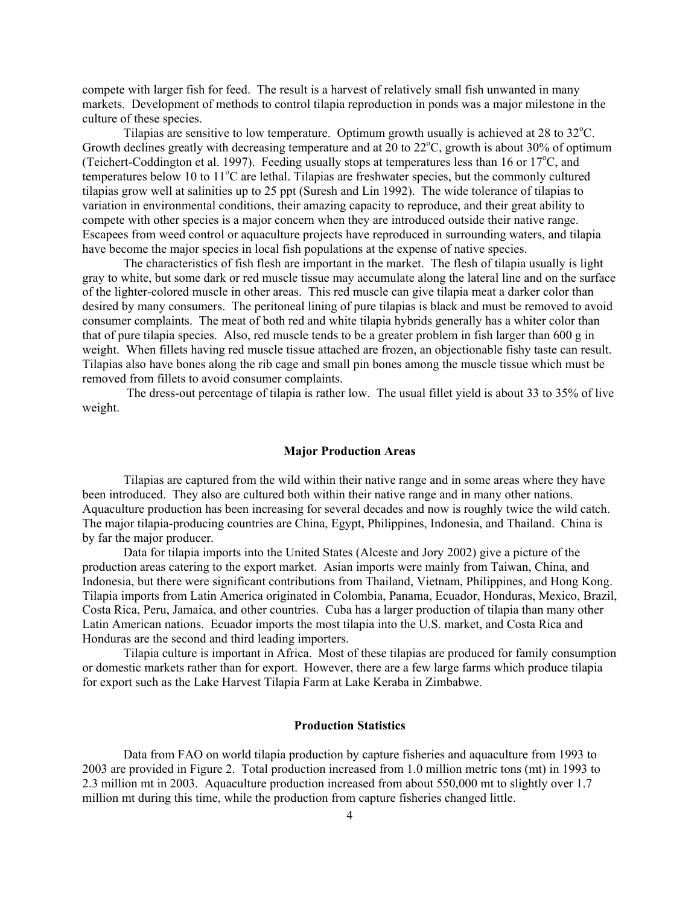compete with larger fish for feed. The result is a harvest of relatively small fish unwanted in many markets. Development of methods to control tilapia reproduction in ponds was a major milestone in the culture of these species.

Tilapias are sensitive to low temperature. Optimum growth usually is achieved at 28 to  $32^{\circ}$ C. Growth declines greatly with decreasing temperature and at 20 to  $22^{\circ}$ C, growth is about 30% of optimum (Teichert-Coddington et al. 1997). Feeding usually stops at temperatures less than 16 or  $17^{\circ}$ C, and temperatures below 10 to 11<sup>o</sup>C are lethal. Tilapias are freshwater species, but the commonly cultured tilapias grow well at salinities up to 25 ppt (Suresh and Lin 1992). The wide tolerance of tilapias to variation in environmental conditions, their amazing capacity to reproduce, and their great ability to compete with other species is a major concern when they are introduced outside their native range. Escapees from weed control or aquaculture projects have reproduced in surrounding waters, and tilapia have become the major species in local fish populations at the expense of native species.

 The characteristics of fish flesh are important in the market. The flesh of tilapia usually is light gray to white, but some dark or red muscle tissue may accumulate along the lateral line and on the surface of the lighter-colored muscle in other areas. This red muscle can give tilapia meat a darker color than desired by many consumers. The peritoneal lining of pure tilapias is black and must be removed to avoid consumer complaints. The meat of both red and white tilapia hybrids generally has a whiter color than that of pure tilapia species. Also, red muscle tends to be a greater problem in fish larger than 600 g in weight. When fillets having red muscle tissue attached are frozen, an objectionable fishy taste can result. Tilapias also have bones along the rib cage and small pin bones among the muscle tissue which must be removed from fillets to avoid consumer complaints.

 The dress-out percentage of tilapia is rather low. The usual fillet yield is about 33 to 35% of live weight.

## Major Production Areas

 Tilapias are captured from the wild within their native range and in some areas where they have been introduced. They also are cultured both within their native range and in many other nations. Aquaculture production has been increasing for several decades and now is roughly twice the wild catch. The major tilapia-producing countries are China, Egypt, Philippines, Indonesia, and Thailand. China is by far the major producer.

 Data for tilapia imports into the United States (Alceste and Jory 2002) give a picture of the production areas catering to the export market. Asian imports were mainly from Taiwan, China, and Indonesia, but there were significant contributions from Thailand, Vietnam, Philippines, and Hong Kong. Tilapia imports from Latin America originated in Colombia, Panama, Ecuador, Honduras, Mexico, Brazil, Costa Rica, Peru, Jamaica, and other countries. Cuba has a larger production of tilapia than many other Latin American nations. Ecuador imports the most tilapia into the U.S. market, and Costa Rica and Honduras are the second and third leading importers.

 Tilapia culture is important in Africa. Most of these tilapias are produced for family consumption or domestic markets rather than for export. However, there are a few large farms which produce tilapia for export such as the Lake Harvest Tilapia Farm at Lake Keraba in Zimbabwe.

## Production Statistics

 Data from FAO on world tilapia production by capture fisheries and aquaculture from 1993 to 2003 are provided in Figure 2. Total production increased from 1.0 million metric tons (mt) in 1993 to 2.3 million mt in 2003. Aquaculture production increased from about 550,000 mt to slightly over 1.7 million mt during this time, while the production from capture fisheries changed little.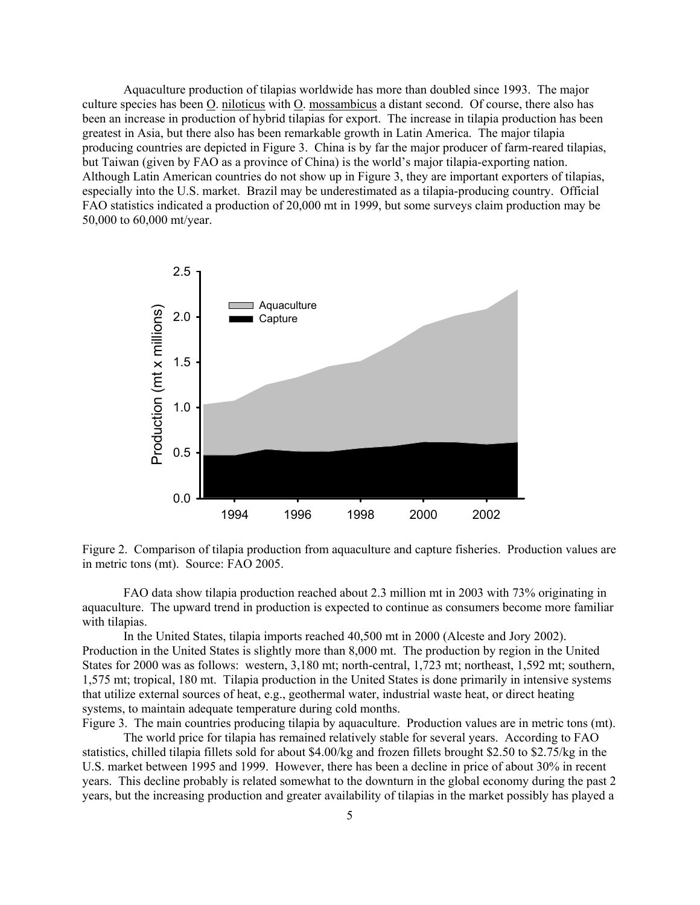Aquaculture production of tilapias worldwide has more than doubled since 1993. The major culture species has been O. niloticus with O. mossambicus a distant second. Of course, there also has been an increase in production of hybrid tilapias for export. The increase in tilapia production has been greatest in Asia, but there also has been remarkable growth in Latin America. The major tilapia producing countries are depicted in Figure 3. China is by far the major producer of farm-reared tilapias, but Taiwan (given by FAO as a province of China) is the world's major tilapia-exporting nation. Although Latin American countries do not show up in Figure 3, they are important exporters of tilapias, especially into the U.S. market. Brazil may be underestimated as a tilapia-producing country. Official FAO statistics indicated a production of 20,000 mt in 1999, but some surveys claim production may be 50,000 to 60,000 mt/year.





FAO data show tilapia production reached about 2.3 million mt in 2003 with 73% originating in aquaculture. The upward trend in production is expected to continue as consumers become more familiar with tilapias.

 In the United States, tilapia imports reached 40,500 mt in 2000 (Alceste and Jory 2002). Production in the United States is slightly more than 8,000 mt. The production by region in the United States for 2000 was as follows: western, 3,180 mt; north-central, 1,723 mt; northeast, 1,592 mt; southern, 1,575 mt; tropical, 180 mt. Tilapia production in the United States is done primarily in intensive systems that utilize external sources of heat, e.g., geothermal water, industrial waste heat, or direct heating systems, to maintain adequate temperature during cold months.

Figure 3. The main countries producing tilapia by aquaculture. Production values are in metric tons (mt).

 The world price for tilapia has remained relatively stable for several years. According to FAO statistics, chilled tilapia fillets sold for about \$4.00/kg and frozen fillets brought \$2.50 to \$2.75/kg in the U.S. market between 1995 and 1999. However, there has been a decline in price of about 30% in recent years. This decline probably is related somewhat to the downturn in the global economy during the past 2 years, but the increasing production and greater availability of tilapias in the market possibly has played a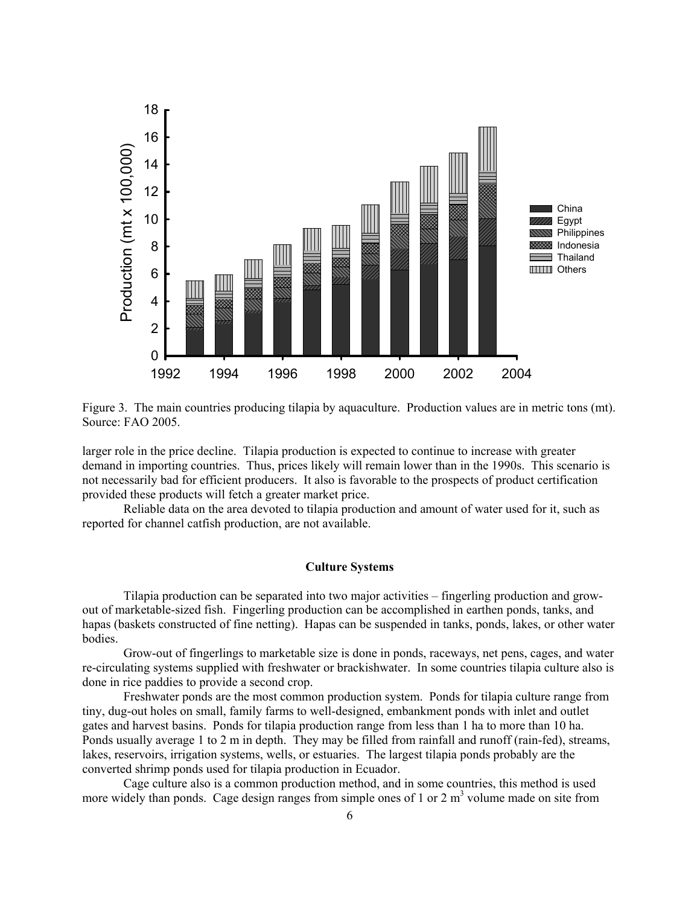

Figure 3. The main countries producing tilapia by aquaculture. Production values are in metric tons (mt). Source: FAO 2005.

larger role in the price decline. Tilapia production is expected to continue to increase with greater demand in importing countries. Thus, prices likely will remain lower than in the 1990s. This scenario is not necessarily bad for efficient producers. It also is favorable to the prospects of product certification provided these products will fetch a greater market price.

 Reliable data on the area devoted to tilapia production and amount of water used for it, such as reported for channel catfish production, are not available.

## Culture Systems

 Tilapia production can be separated into two major activities – fingerling production and growout of marketable-sized fish. Fingerling production can be accomplished in earthen ponds, tanks, and hapas (baskets constructed of fine netting). Hapas can be suspended in tanks, ponds, lakes, or other water bodies.

 Grow-out of fingerlings to marketable size is done in ponds, raceways, net pens, cages, and water re-circulating systems supplied with freshwater or brackishwater. In some countries tilapia culture also is done in rice paddies to provide a second crop.

 Freshwater ponds are the most common production system. Ponds for tilapia culture range from tiny, dug-out holes on small, family farms to well-designed, embankment ponds with inlet and outlet gates and harvest basins. Ponds for tilapia production range from less than 1 ha to more than 10 ha. Ponds usually average 1 to 2 m in depth. They may be filled from rainfall and runoff (rain-fed), streams, lakes, reservoirs, irrigation systems, wells, or estuaries. The largest tilapia ponds probably are the converted shrimp ponds used for tilapia production in Ecuador.

 Cage culture also is a common production method, and in some countries, this method is used more widely than ponds. Cage design ranges from simple ones of 1 or 2  $m<sup>3</sup>$  volume made on site from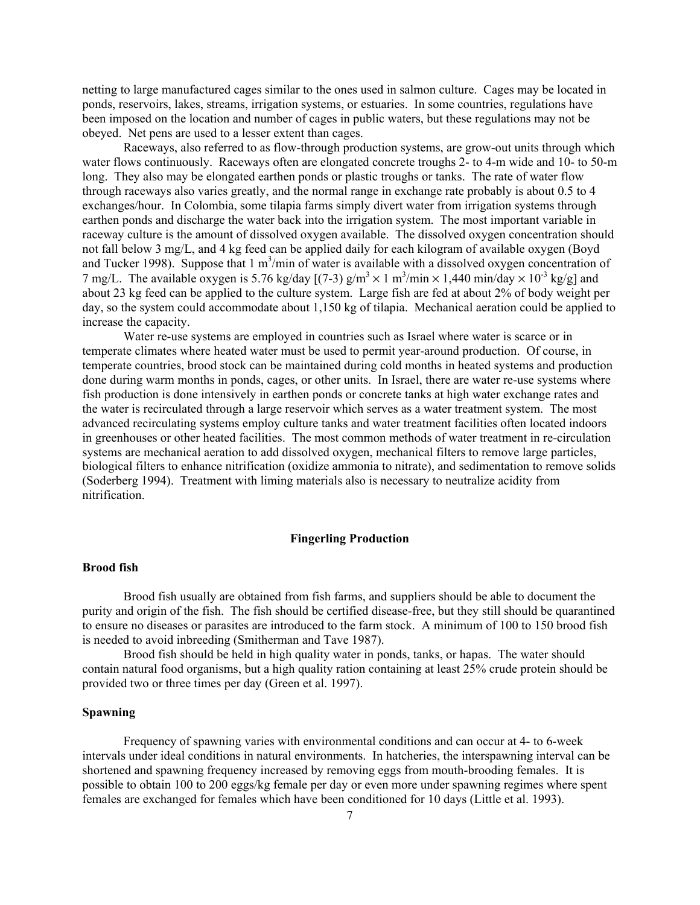netting to large manufactured cages similar to the ones used in salmon culture. Cages may be located in ponds, reservoirs, lakes, streams, irrigation systems, or estuaries. In some countries, regulations have been imposed on the location and number of cages in public waters, but these regulations may not be obeyed. Net pens are used to a lesser extent than cages.

 Raceways, also referred to as flow-through production systems, are grow-out units through which water flows continuously. Raceways often are elongated concrete troughs 2- to 4-m wide and 10- to 50-m long. They also may be elongated earthen ponds or plastic troughs or tanks. The rate of water flow through raceways also varies greatly, and the normal range in exchange rate probably is about 0.5 to 4 exchanges/hour. In Colombia, some tilapia farms simply divert water from irrigation systems through earthen ponds and discharge the water back into the irrigation system. The most important variable in raceway culture is the amount of dissolved oxygen available. The dissolved oxygen concentration should not fall below 3 mg/L, and 4 kg feed can be applied daily for each kilogram of available oxygen (Boyd and Tucker 1998). Suppose that  $1 \text{ m}^3/\text{min}$  of water is available with a dissolved oxygen concentration of 7 mg/L. The available oxygen is 5.76 kg/day  $[(7-3)$  g/m<sup>3</sup> × 1 m<sup>3</sup>/min × 1,440 min/day × 10<sup>-3</sup> kg/g] and about 23 kg feed can be applied to the culture system. Large fish are fed at about 2% of body weight per day, so the system could accommodate about 1,150 kg of tilapia. Mechanical aeration could be applied to increase the capacity.

Water re-use systems are employed in countries such as Israel where water is scarce or in temperate climates where heated water must be used to permit year-around production. Of course, in temperate countries, brood stock can be maintained during cold months in heated systems and production done during warm months in ponds, cages, or other units. In Israel, there are water re-use systems where fish production is done intensively in earthen ponds or concrete tanks at high water exchange rates and the water is recirculated through a large reservoir which serves as a water treatment system. The most advanced recirculating systems employ culture tanks and water treatment facilities often located indoors in greenhouses or other heated facilities. The most common methods of water treatment in re-circulation systems are mechanical aeration to add dissolved oxygen, mechanical filters to remove large particles, biological filters to enhance nitrification (oxidize ammonia to nitrate), and sedimentation to remove solids (Soderberg 1994). Treatment with liming materials also is necessary to neutralize acidity from nitrification.

#### Fingerling Production

## Brood fish

 Brood fish usually are obtained from fish farms, and suppliers should be able to document the purity and origin of the fish. The fish should be certified disease-free, but they still should be quarantined to ensure no diseases or parasites are introduced to the farm stock. A minimum of 100 to 150 brood fish is needed to avoid inbreeding (Smitherman and Tave 1987).

 Brood fish should be held in high quality water in ponds, tanks, or hapas. The water should contain natural food organisms, but a high quality ration containing at least 25% crude protein should be provided two or three times per day (Green et al. 1997).

## Spawning

 Frequency of spawning varies with environmental conditions and can occur at 4- to 6-week intervals under ideal conditions in natural environments. In hatcheries, the interspawning interval can be shortened and spawning frequency increased by removing eggs from mouth-brooding females. It is possible to obtain 100 to 200 eggs/kg female per day or even more under spawning regimes where spent females are exchanged for females which have been conditioned for 10 days (Little et al. 1993).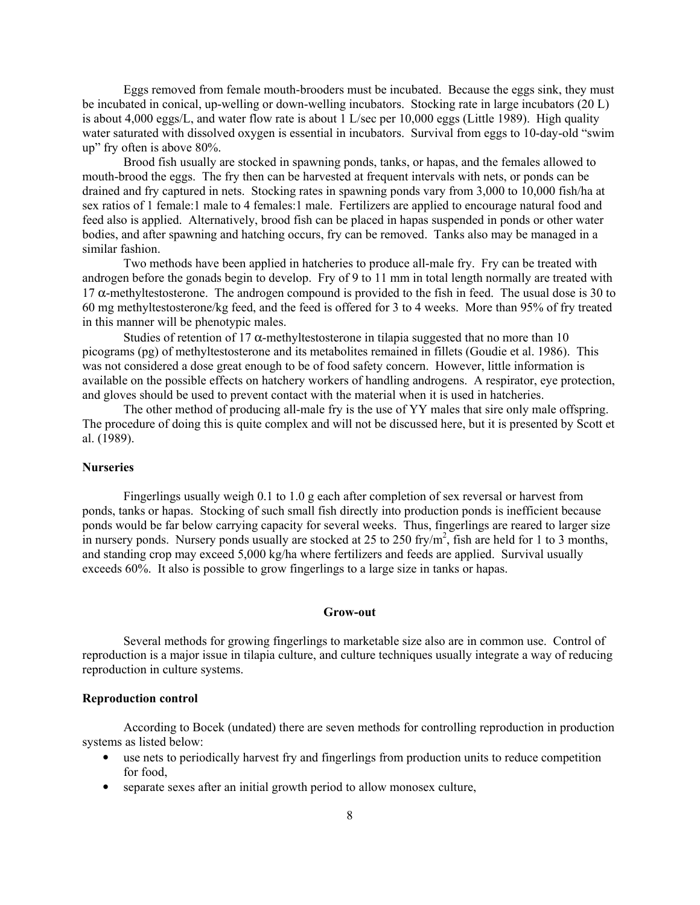Eggs removed from female mouth-brooders must be incubated. Because the eggs sink, they must be incubated in conical, up-welling or down-welling incubators. Stocking rate in large incubators (20 L) is about 4,000 eggs/L, and water flow rate is about 1 L/sec per 10,000 eggs (Little 1989). High quality water saturated with dissolved oxygen is essential in incubators. Survival from eggs to 10-day-old "swim up" fry often is above 80%.

 Brood fish usually are stocked in spawning ponds, tanks, or hapas, and the females allowed to mouth-brood the eggs. The fry then can be harvested at frequent intervals with nets, or ponds can be drained and fry captured in nets. Stocking rates in spawning ponds vary from 3,000 to 10,000 fish/ha at sex ratios of 1 female:1 male to 4 females:1 male. Fertilizers are applied to encourage natural food and feed also is applied. Alternatively, brood fish can be placed in hapas suspended in ponds or other water bodies, and after spawning and hatching occurs, fry can be removed. Tanks also may be managed in a similar fashion.

 Two methods have been applied in hatcheries to produce all-male fry. Fry can be treated with androgen before the gonads begin to develop. Fry of 9 to 11 mm in total length normally are treated with 17  $\alpha$ -methyltestosterone. The androgen compound is provided to the fish in feed. The usual dose is 30 to 60 mg methyltestosterone/kg feed, and the feed is offered for 3 to 4 weeks. More than 95% of fry treated in this manner will be phenotypic males.

Studies of retention of 17  $\alpha$ -methyltestosterone in tilapia suggested that no more than 10 picograms (pg) of methyltestosterone and its metabolites remained in fillets (Goudie et al. 1986). This was not considered a dose great enough to be of food safety concern. However, little information is available on the possible effects on hatchery workers of handling androgens. A respirator, eye protection, and gloves should be used to prevent contact with the material when it is used in hatcheries.

 The other method of producing all-male fry is the use of YY males that sire only male offspring. The procedure of doing this is quite complex and will not be discussed here, but it is presented by Scott et al. (1989).

#### **Nurseries**

 Fingerlings usually weigh 0.1 to 1.0 g each after completion of sex reversal or harvest from ponds, tanks or hapas. Stocking of such small fish directly into production ponds is inefficient because ponds would be far below carrying capacity for several weeks. Thus, fingerlings are reared to larger size in nursery ponds. Nursery ponds usually are stocked at 25 to 250 fry/ $m^2$ , fish are held for 1 to 3 months, and standing crop may exceed 5,000 kg/ha where fertilizers and feeds are applied. Survival usually exceeds 60%. It also is possible to grow fingerlings to a large size in tanks or hapas.

#### Grow-out

 Several methods for growing fingerlings to marketable size also are in common use. Control of reproduction is a major issue in tilapia culture, and culture techniques usually integrate a way of reducing reproduction in culture systems.

## Reproduction control

 According to Bocek (undated) there are seven methods for controlling reproduction in production systems as listed below:

- use nets to periodically harvest fry and fingerlings from production units to reduce competition for food,
- separate sexes after an initial growth period to allow monosex culture,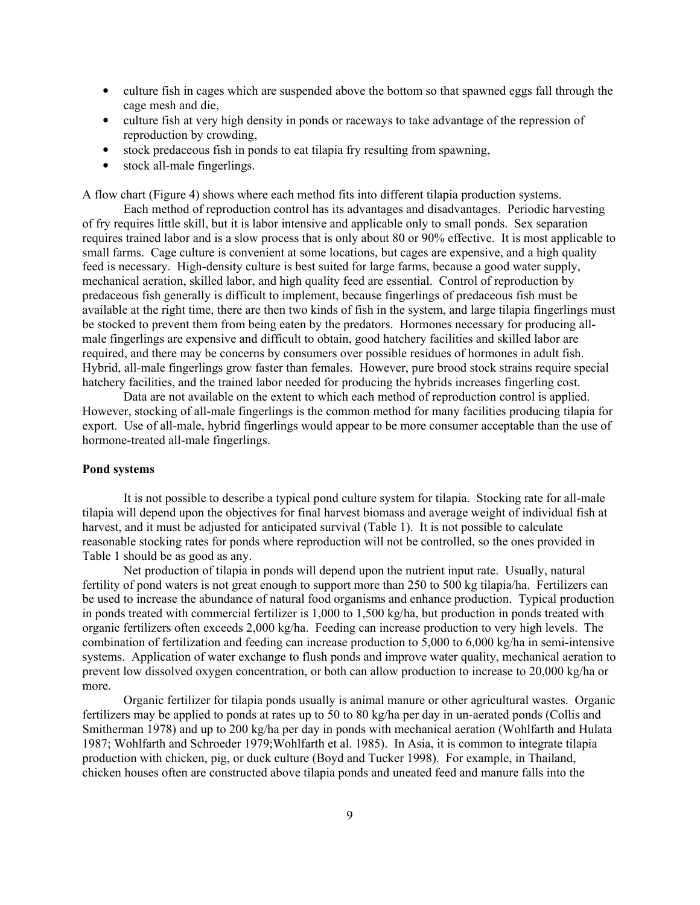- culture fish in cages which are suspended above the bottom so that spawned eggs fall through the cage mesh and die,
- culture fish at very high density in ponds or raceways to take advantage of the repression of reproduction by crowding,
- stock predaceous fish in ponds to eat tilapia fry resulting from spawning,
- stock all-male fingerlings.

A flow chart (Figure 4) shows where each method fits into different tilapia production systems.

 Each method of reproduction control has its advantages and disadvantages. Periodic harvesting of fry requires little skill, but it is labor intensive and applicable only to small ponds. Sex separation requires trained labor and is a slow process that is only about 80 or 90% effective. It is most applicable to small farms. Cage culture is convenient at some locations, but cages are expensive, and a high quality feed is necessary. High-density culture is best suited for large farms, because a good water supply, mechanical aeration, skilled labor, and high quality feed are essential. Control of reproduction by predaceous fish generally is difficult to implement, because fingerlings of predaceous fish must be available at the right time, there are then two kinds of fish in the system, and large tilapia fingerlings must be stocked to prevent them from being eaten by the predators. Hormones necessary for producing allmale fingerlings are expensive and difficult to obtain, good hatchery facilities and skilled labor are required, and there may be concerns by consumers over possible residues of hormones in adult fish. Hybrid, all-male fingerlings grow faster than females. However, pure brood stock strains require special hatchery facilities, and the trained labor needed for producing the hybrids increases fingerling cost.

 Data are not available on the extent to which each method of reproduction control is applied. However, stocking of all-male fingerlings is the common method for many facilities producing tilapia for export. Use of all-male, hybrid fingerlings would appear to be more consumer acceptable than the use of hormone-treated all-male fingerlings.

# Pond systems

 It is not possible to describe a typical pond culture system for tilapia. Stocking rate for all-male tilapia will depend upon the objectives for final harvest biomass and average weight of individual fish at harvest, and it must be adjusted for anticipated survival (Table 1). It is not possible to calculate reasonable stocking rates for ponds where reproduction will not be controlled, so the ones provided in Table 1 should be as good as any.

 Net production of tilapia in ponds will depend upon the nutrient input rate. Usually, natural fertility of pond waters is not great enough to support more than 250 to 500 kg tilapia/ha. Fertilizers can be used to increase the abundance of natural food organisms and enhance production. Typical production in ponds treated with commercial fertilizer is 1,000 to 1,500 kg/ha, but production in ponds treated with organic fertilizers often exceeds 2,000 kg/ha. Feeding can increase production to very high levels. The combination of fertilization and feeding can increase production to 5,000 to 6,000 kg/ha in semi-intensive systems. Application of water exchange to flush ponds and improve water quality, mechanical aeration to prevent low dissolved oxygen concentration, or both can allow production to increase to 20,000 kg/ha or more.

Organic fertilizer for tilapia ponds usually is animal manure or other agricultural wastes. Organic fertilizers may be applied to ponds at rates up to 50 to 80 kg/ha per day in un-aerated ponds (Collis and Smitherman 1978) and up to 200 kg/ha per day in ponds with mechanical aeration (Wohlfarth and Hulata 1987; Wohlfarth and Schroeder 1979;Wohlfarth et al. 1985). In Asia, it is common to integrate tilapia production with chicken, pig, or duck culture (Boyd and Tucker 1998). For example, in Thailand, chicken houses often are constructed above tilapia ponds and uneated feed and manure falls into the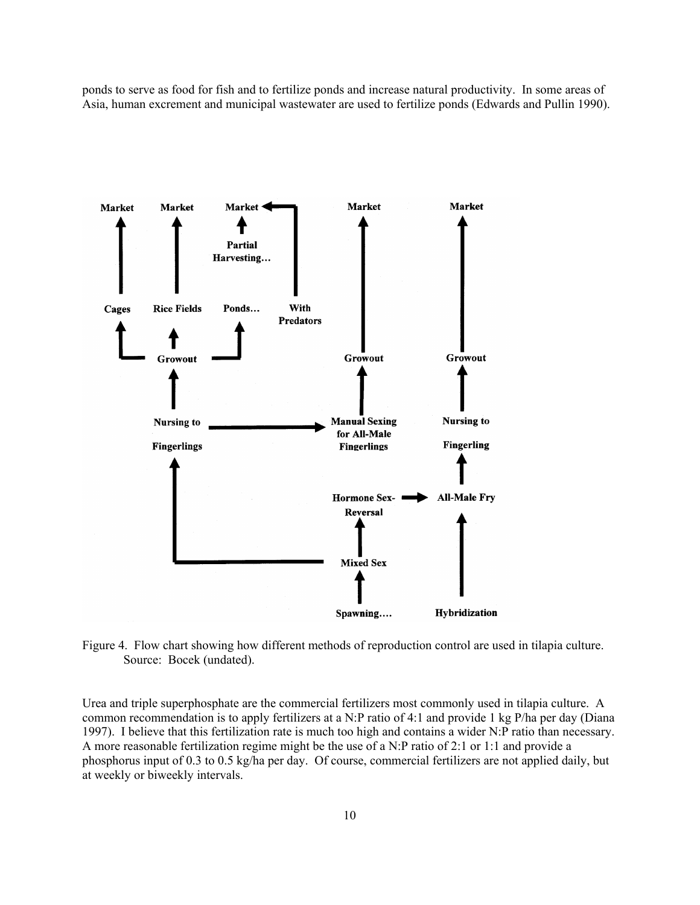ponds to serve as food for fish and to fertilize ponds and increase natural productivity. In some areas of Asia, human excrement and municipal wastewater are used to fertilize ponds (Edwards and Pullin 1990).



Figure 4. Flow chart showing how different methods of reproduction control are used in tilapia culture. Source: Bocek (undated).

Urea and triple superphosphate are the commercial fertilizers most commonly used in tilapia culture. A common recommendation is to apply fertilizers at a N:P ratio of 4:1 and provide 1 kg P/ha per day (Diana 1997). I believe that this fertilization rate is much too high and contains a wider N:P ratio than necessary. A more reasonable fertilization regime might be the use of a N:P ratio of 2:1 or 1:1 and provide a phosphorus input of 0.3 to 0.5 kg/ha per day. Of course, commercial fertilizers are not applied daily, but at weekly or biweekly intervals.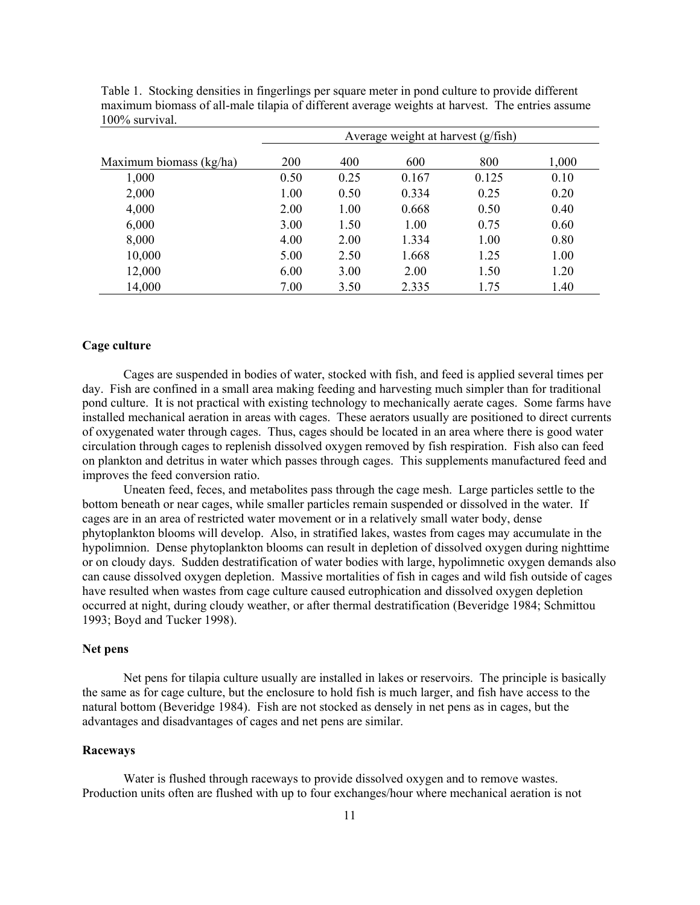|                         | Average weight at harvest $(g/fish)$ |      |       |       |       |
|-------------------------|--------------------------------------|------|-------|-------|-------|
| Maximum biomass (kg/ha) | 200                                  | 400  | 600   | 800   | 1,000 |
| 1,000                   | 0.50                                 | 0.25 | 0.167 | 0.125 | 0.10  |
| 2,000                   | 1.00                                 | 0.50 | 0.334 | 0.25  | 0.20  |
| 4,000                   | 2.00                                 | 1.00 | 0.668 | 0.50  | 0.40  |
| 6,000                   | 3.00                                 | 1.50 | 1.00  | 0.75  | 0.60  |
| 8,000                   | 4.00                                 | 2.00 | 1.334 | 1.00  | 0.80  |
| 10,000                  | 5.00                                 | 2.50 | 1.668 | 1.25  | 1.00  |
| 12,000                  | 6.00                                 | 3.00 | 2.00  | 1.50  | 1.20  |
| 14,000                  | 7.00                                 | 3.50 | 2.335 | 1.75  | 1.40  |

Table 1. Stocking densities in fingerlings per square meter in pond culture to provide different maximum biomass of all-male tilapia of different average weights at harvest. The entries assume 100% survival.

# Cage culture

 Cages are suspended in bodies of water, stocked with fish, and feed is applied several times per day. Fish are confined in a small area making feeding and harvesting much simpler than for traditional pond culture. It is not practical with existing technology to mechanically aerate cages. Some farms have installed mechanical aeration in areas with cages. These aerators usually are positioned to direct currents of oxygenated water through cages. Thus, cages should be located in an area where there is good water circulation through cages to replenish dissolved oxygen removed by fish respiration. Fish also can feed on plankton and detritus in water which passes through cages. This supplements manufactured feed and improves the feed conversion ratio.

 Uneaten feed, feces, and metabolites pass through the cage mesh. Large particles settle to the bottom beneath or near cages, while smaller particles remain suspended or dissolved in the water. If cages are in an area of restricted water movement or in a relatively small water body, dense phytoplankton blooms will develop. Also, in stratified lakes, wastes from cages may accumulate in the hypolimnion. Dense phytoplankton blooms can result in depletion of dissolved oxygen during nighttime or on cloudy days. Sudden destratification of water bodies with large, hypolimnetic oxygen demands also can cause dissolved oxygen depletion. Massive mortalities of fish in cages and wild fish outside of cages have resulted when wastes from cage culture caused eutrophication and dissolved oxygen depletion occurred at night, during cloudy weather, or after thermal destratification (Beveridge 1984; Schmittou 1993; Boyd and Tucker 1998).

## Net pens

 Net pens for tilapia culture usually are installed in lakes or reservoirs. The principle is basically the same as for cage culture, but the enclosure to hold fish is much larger, and fish have access to the natural bottom (Beveridge 1984). Fish are not stocked as densely in net pens as in cages, but the advantages and disadvantages of cages and net pens are similar.

# Raceways

 Water is flushed through raceways to provide dissolved oxygen and to remove wastes. Production units often are flushed with up to four exchanges/hour where mechanical aeration is not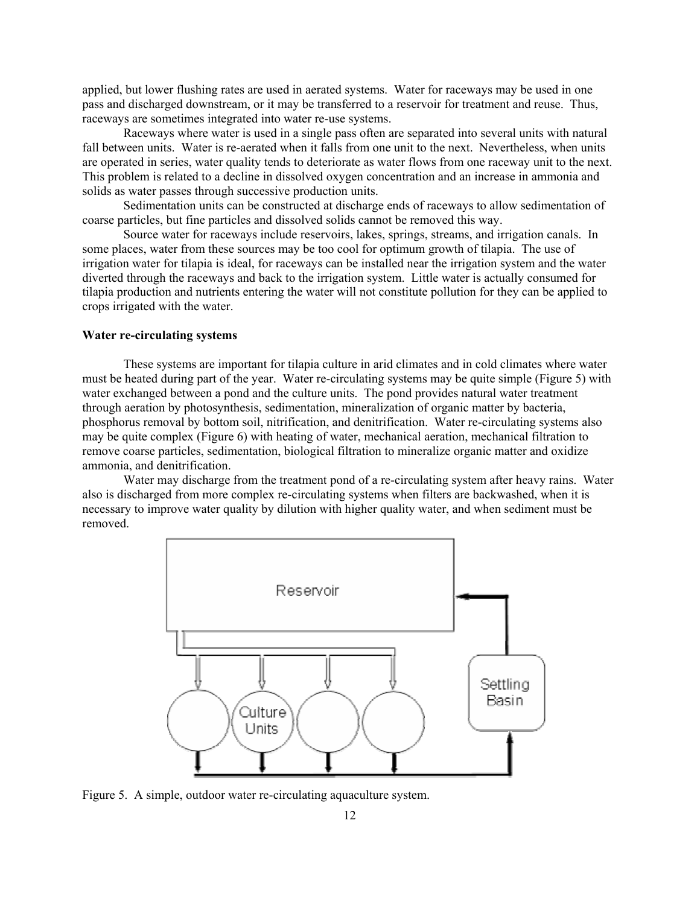applied, but lower flushing rates are used in aerated systems. Water for raceways may be used in one pass and discharged downstream, or it may be transferred to a reservoir for treatment and reuse. Thus, raceways are sometimes integrated into water re-use systems.

 Raceways where water is used in a single pass often are separated into several units with natural fall between units. Water is re-aerated when it falls from one unit to the next. Nevertheless, when units are operated in series, water quality tends to deteriorate as water flows from one raceway unit to the next. This problem is related to a decline in dissolved oxygen concentration and an increase in ammonia and solids as water passes through successive production units.

 Sedimentation units can be constructed at discharge ends of raceways to allow sedimentation of coarse particles, but fine particles and dissolved solids cannot be removed this way.

 Source water for raceways include reservoirs, lakes, springs, streams, and irrigation canals. In some places, water from these sources may be too cool for optimum growth of tilapia. The use of irrigation water for tilapia is ideal, for raceways can be installed near the irrigation system and the water diverted through the raceways and back to the irrigation system. Little water is actually consumed for tilapia production and nutrients entering the water will not constitute pollution for they can be applied to crops irrigated with the water.

## Water re-circulating systems

 These systems are important for tilapia culture in arid climates and in cold climates where water must be heated during part of the year. Water re-circulating systems may be quite simple (Figure 5) with water exchanged between a pond and the culture units. The pond provides natural water treatment through aeration by photosynthesis, sedimentation, mineralization of organic matter by bacteria, phosphorus removal by bottom soil, nitrification, and denitrification. Water re-circulating systems also may be quite complex (Figure 6) with heating of water, mechanical aeration, mechanical filtration to remove coarse particles, sedimentation, biological filtration to mineralize organic matter and oxidize ammonia, and denitrification.

 Water may discharge from the treatment pond of a re-circulating system after heavy rains. Water also is discharged from more complex re-circulating systems when filters are backwashed, when it is necessary to improve water quality by dilution with higher quality water, and when sediment must be removed.



Figure 5. A simple, outdoor water re-circulating aquaculture system.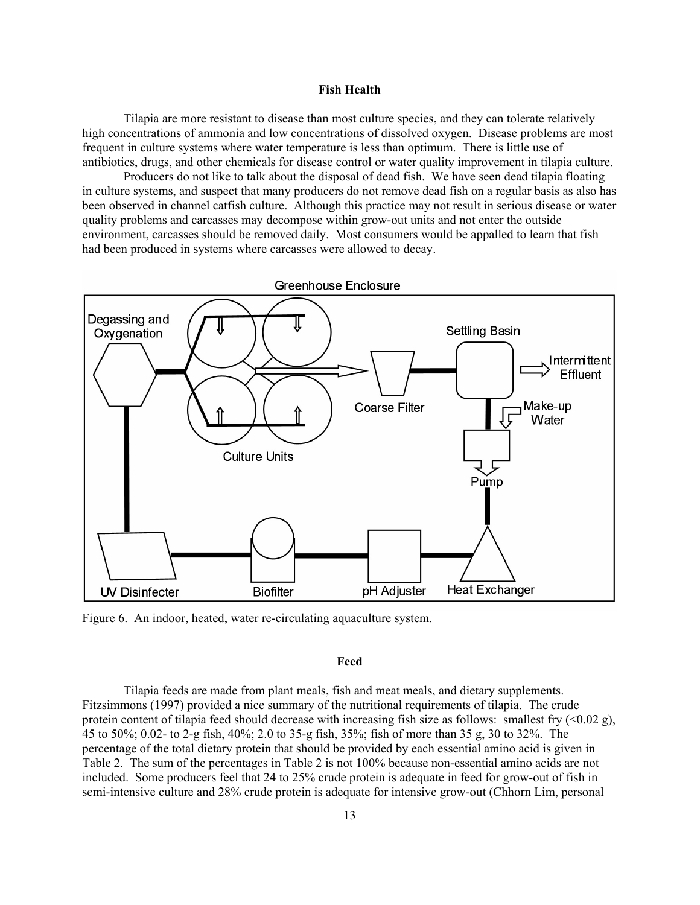#### Fish Health

 Tilapia are more resistant to disease than most culture species, and they can tolerate relatively high concentrations of ammonia and low concentrations of dissolved oxygen. Disease problems are most frequent in culture systems where water temperature is less than optimum. There is little use of antibiotics, drugs, and other chemicals for disease control or water quality improvement in tilapia culture.

 Producers do not like to talk about the disposal of dead fish. We have seen dead tilapia floating in culture systems, and suspect that many producers do not remove dead fish on a regular basis as also has been observed in channel catfish culture. Although this practice may not result in serious disease or water quality problems and carcasses may decompose within grow-out units and not enter the outside environment, carcasses should be removed daily. Most consumers would be appalled to learn that fish had been produced in systems where carcasses were allowed to decay.



Figure 6. An indoor, heated, water re-circulating aquaculture system.

## Feed

 Tilapia feeds are made from plant meals, fish and meat meals, and dietary supplements. Fitzsimmons (1997) provided a nice summary of the nutritional requirements of tilapia. The crude protein content of tilapia feed should decrease with increasing fish size as follows: smallest fry  $(<0.02 \text{ g})$ , 45 to 50%; 0.02- to 2-g fish, 40%; 2.0 to 35-g fish, 35%; fish of more than 35 g, 30 to 32%. The percentage of the total dietary protein that should be provided by each essential amino acid is given in Table 2. The sum of the percentages in Table 2 is not 100% because non-essential amino acids are not included. Some producers feel that 24 to 25% crude protein is adequate in feed for grow-out of fish in semi-intensive culture and 28% crude protein is adequate for intensive grow-out (Chhorn Lim, personal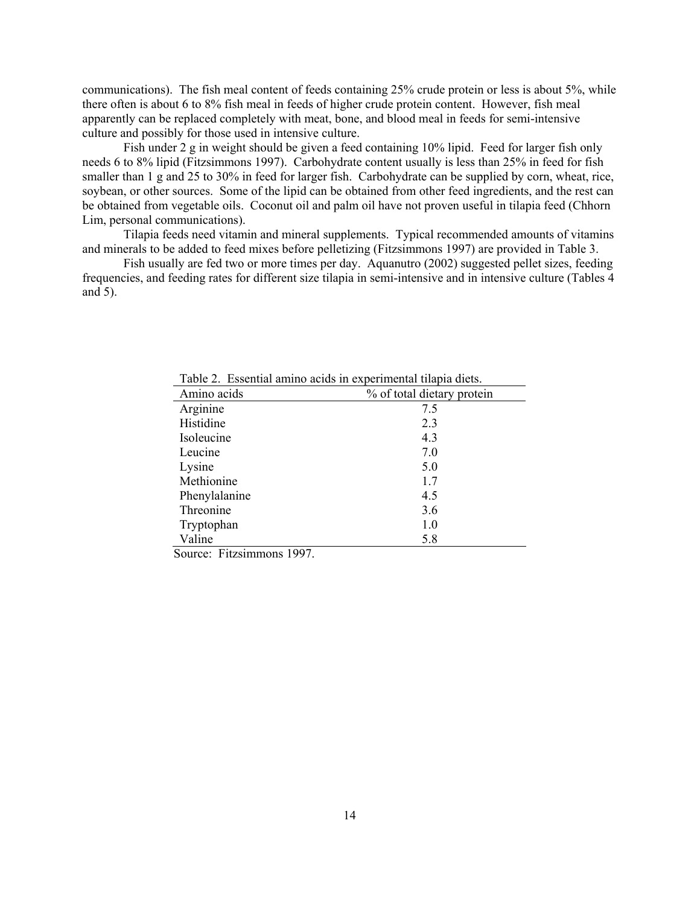communications). The fish meal content of feeds containing 25% crude protein or less is about 5%, while there often is about 6 to 8% fish meal in feeds of higher crude protein content. However, fish meal apparently can be replaced completely with meat, bone, and blood meal in feeds for semi-intensive culture and possibly for those used in intensive culture.

Fish under 2 g in weight should be given a feed containing 10% lipid. Feed for larger fish only needs 6 to 8% lipid (Fitzsimmons 1997). Carbohydrate content usually is less than 25% in feed for fish smaller than 1 g and 25 to 30% in feed for larger fish. Carbohydrate can be supplied by corn, wheat, rice, soybean, or other sources. Some of the lipid can be obtained from other feed ingredients, and the rest can be obtained from vegetable oils. Coconut oil and palm oil have not proven useful in tilapia feed (Chhorn Lim, personal communications).

 Tilapia feeds need vitamin and mineral supplements. Typical recommended amounts of vitamins and minerals to be added to feed mixes before pelletizing (Fitzsimmons 1997) are provided in Table 3.

 Fish usually are fed two or more times per day. Aquanutro (2002) suggested pellet sizes, feeding frequencies, and feeding rates for different size tilapia in semi-intensive and in intensive culture (Tables 4 and 5).

| Amino acids   | % of total dietary protein |
|---------------|----------------------------|
| Arginine      | 7.5                        |
| Histidine     | 2.3                        |
| Isoleucine    | 4.3                        |
| Leucine       | 7.0                        |
| Lysine        | 5.0                        |
| Methionine    | 1.7                        |
| Phenylalanine | 4.5                        |
| Threonine     | 3.6                        |
| Tryptophan    | 1.0                        |
| Valine        | 5.8                        |

Table 2. Essential amino acids in experimental tilapia diets.

Source: Fitzsimmons 1997.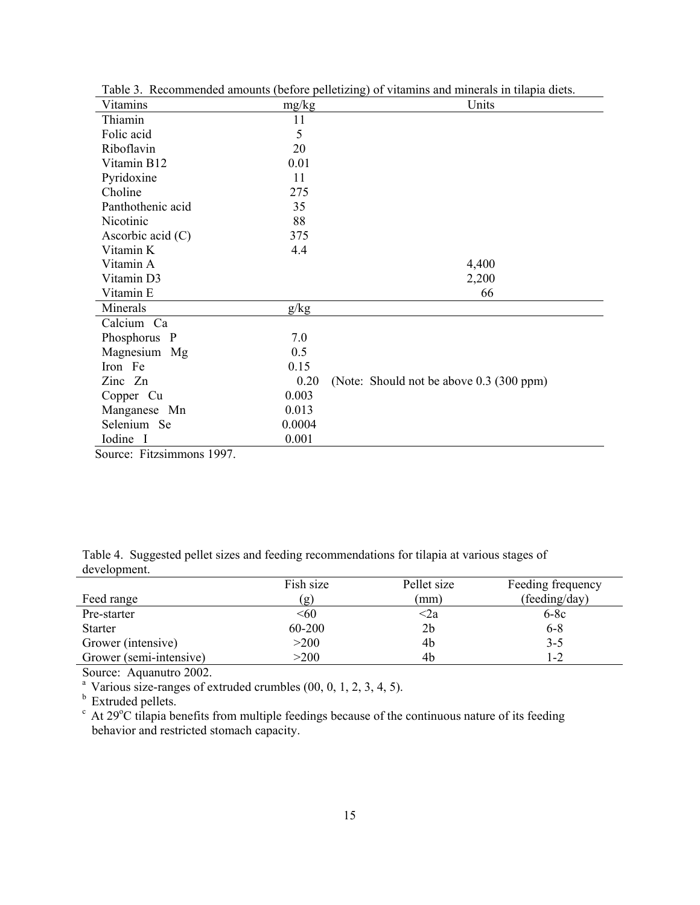| Vitamins            | mg/kg  | Units                                    |
|---------------------|--------|------------------------------------------|
| Thiamin             | 11     |                                          |
| Folic acid          | 5      |                                          |
| Riboflavin          | 20     |                                          |
| Vitamin B12         | 0.01   |                                          |
| Pyridoxine          | 11     |                                          |
| Choline             | 275    |                                          |
| Panthothenic acid   | 35     |                                          |
| Nicotinic           | 88     |                                          |
| Ascorbic acid $(C)$ | 375    |                                          |
| Vitamin K           | 4.4    |                                          |
| Vitamin A           |        | 4,400                                    |
| Vitamin D3          |        | 2,200                                    |
| Vitamin E           |        | 66                                       |
| Minerals            | g/kg   |                                          |
| Calcium Ca          |        |                                          |
| Phosphorus P        | 7.0    |                                          |
| Magnesium Mg        | 0.5    |                                          |
| Iron Fe             | 0.15   |                                          |
| Zinc Zn             | 0.20   | (Note: Should not be above 0.3 (300 ppm) |
| Copper Cu           | 0.003  |                                          |
| Manganese Mn        | 0.013  |                                          |
| Selenium Se         | 0.0004 |                                          |
| Iodine I            | 0.001  |                                          |

Table 3. Recommended amounts (before pelletizing) of vitamins and minerals in tilapia diets.

Source: Fitzsimmons 1997.

|              | Table 4. Suggested pellet sizes and feeding recommendations for tilapia at various stages of |  |  |  |
|--------------|----------------------------------------------------------------------------------------------|--|--|--|
| development. |                                                                                              |  |  |  |

|                         | Fish size | Pellet size | Feeding frequency |
|-------------------------|-----------|-------------|-------------------|
| Feed range              | (g)       | mm)         | (feeding/day)     |
| Pre-starter             | < 60      | <2a         | $6-8c$            |
| <b>Starter</b>          | 60-200    | 2b          | $6 - 8$           |
| Grower (intensive)      | >200      | 4b          | $3 - 5$           |
| Grower (semi-intensive) | >200      | 4b          | $ -2$             |

Source: Aquanutro 2002.

<sup>a</sup> Various size-ranges of extruded crumbles  $(00, 0, 1, 2, 3, 4, 5)$ .

**b** Extruded pellets.

 $c$  At 29 $\degree$ C tilapia benefits from multiple feedings because of the continuous nature of its feeding behavior and restricted stomach capacity.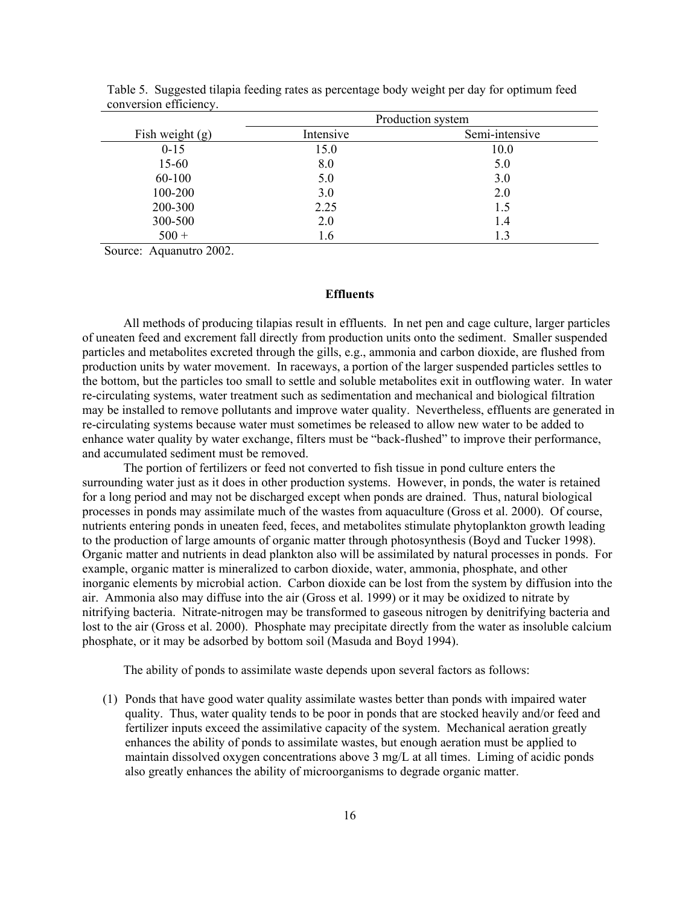|                   |           | Production system |
|-------------------|-----------|-------------------|
| Fish weight $(g)$ | Intensive | Semi-intensive    |
| $0 - 15$          | 15.0      | 10.0              |
| 15-60             | 8.0       | 5.0               |
| 60-100            | 5.0       | 3.0               |
| 100-200           | 3.0       | 2.0               |
| 200-300           | 2.25      | 1.5               |
| 300-500           | 2.0       | 1.4               |
| $500 +$           | 1.6       | 1.3               |

Table 5. Suggested tilapia feeding rates as percentage body weight per day for optimum feed conversion efficiency.

Source: Aquanutro 2002.

## **Effluents**

 All methods of producing tilapias result in effluents. In net pen and cage culture, larger particles of uneaten feed and excrement fall directly from production units onto the sediment. Smaller suspended particles and metabolites excreted through the gills, e.g., ammonia and carbon dioxide, are flushed from production units by water movement. In raceways, a portion of the larger suspended particles settles to the bottom, but the particles too small to settle and soluble metabolites exit in outflowing water. In water re-circulating systems, water treatment such as sedimentation and mechanical and biological filtration may be installed to remove pollutants and improve water quality. Nevertheless, effluents are generated in re-circulating systems because water must sometimes be released to allow new water to be added to enhance water quality by water exchange, filters must be "back-flushed" to improve their performance, and accumulated sediment must be removed.

 The portion of fertilizers or feed not converted to fish tissue in pond culture enters the surrounding water just as it does in other production systems. However, in ponds, the water is retained for a long period and may not be discharged except when ponds are drained. Thus, natural biological processes in ponds may assimilate much of the wastes from aquaculture (Gross et al. 2000). Of course, nutrients entering ponds in uneaten feed, feces, and metabolites stimulate phytoplankton growth leading to the production of large amounts of organic matter through photosynthesis (Boyd and Tucker 1998). Organic matter and nutrients in dead plankton also will be assimilated by natural processes in ponds. For example, organic matter is mineralized to carbon dioxide, water, ammonia, phosphate, and other inorganic elements by microbial action. Carbon dioxide can be lost from the system by diffusion into the air. Ammonia also may diffuse into the air (Gross et al. 1999) or it may be oxidized to nitrate by nitrifying bacteria. Nitrate-nitrogen may be transformed to gaseous nitrogen by denitrifying bacteria and lost to the air (Gross et al. 2000). Phosphate may precipitate directly from the water as insoluble calcium phosphate, or it may be adsorbed by bottom soil (Masuda and Boyd 1994).

The ability of ponds to assimilate waste depends upon several factors as follows:

(1) Ponds that have good water quality assimilate wastes better than ponds with impaired water quality. Thus, water quality tends to be poor in ponds that are stocked heavily and/or feed and fertilizer inputs exceed the assimilative capacity of the system. Mechanical aeration greatly enhances the ability of ponds to assimilate wastes, but enough aeration must be applied to maintain dissolved oxygen concentrations above 3 mg/L at all times. Liming of acidic ponds also greatly enhances the ability of microorganisms to degrade organic matter.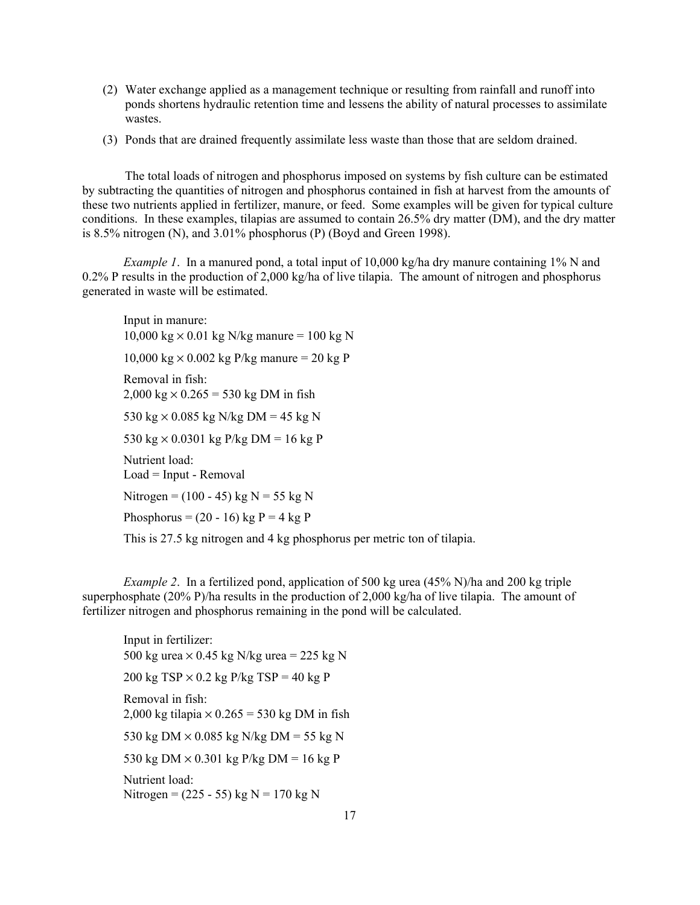- (2) Water exchange applied as a management technique or resulting from rainfall and runoff into ponds shortens hydraulic retention time and lessens the ability of natural processes to assimilate wastes.
- (3) Ponds that are drained frequently assimilate less waste than those that are seldom drained.

The total loads of nitrogen and phosphorus imposed on systems by fish culture can be estimated by subtracting the quantities of nitrogen and phosphorus contained in fish at harvest from the amounts of these two nutrients applied in fertilizer, manure, or feed. Some examples will be given for typical culture conditions. In these examples, tilapias are assumed to contain 26.5% dry matter (DM), and the dry matter is 8.5% nitrogen (N), and 3.01% phosphorus (P) (Boyd and Green 1998).

*Example 1.* In a manured pond, a total input of 10,000 kg/ha dry manure containing 1% N and 0.2% P results in the production of 2,000 kg/ha of live tilapia. The amount of nitrogen and phosphorus generated in waste will be estimated.

Input in manure:  $10,000 \text{ kg} \times 0.01 \text{ kg}$  N/kg manure = 100 kg N  $10,000 \text{ kg} \times 0.002 \text{ kg}$  P/kg manure = 20 kg P Removal in fish:  $2,000 \text{ kg} \times 0.265 = 530 \text{ kg} \text{ DM in fish}$ 530 kg  $\times$  0.085 kg N/kg DM = 45 kg N 530 kg  $\times$  0.0301 kg P/kg DM = 16 kg P Nutrient load: Load = Input - Removal Nitrogen =  $(100 - 45)$  kg N = 55 kg N Phosphorus =  $(20 - 16)$  kg P = 4 kg P This is 27.5 kg nitrogen and 4 kg phosphorus per metric ton of tilapia.

*Example 2.* In a fertilized pond, application of 500 kg urea  $(45\% N)/ha$  and 200 kg triple superphosphate (20% P)/ha results in the production of 2,000 kg/ha of live tilapia. The amount of fertilizer nitrogen and phosphorus remaining in the pond will be calculated.

Input in fertilizer: 500 kg urea  $\times$  0.45 kg N/kg urea = 225 kg N 200 kg TSP  $\times$  0.2 kg P/kg TSP = 40 kg P Removal in fish: 2,000 kg tilapia  $\times$  0.265 = 530 kg DM in fish 530 kg DM  $\times$  0.085 kg N/kg DM = 55 kg N 530 kg DM  $\times$  0.301 kg P/kg DM = 16 kg P Nutrient load: Nitrogen =  $(225 - 55)$  kg N = 170 kg N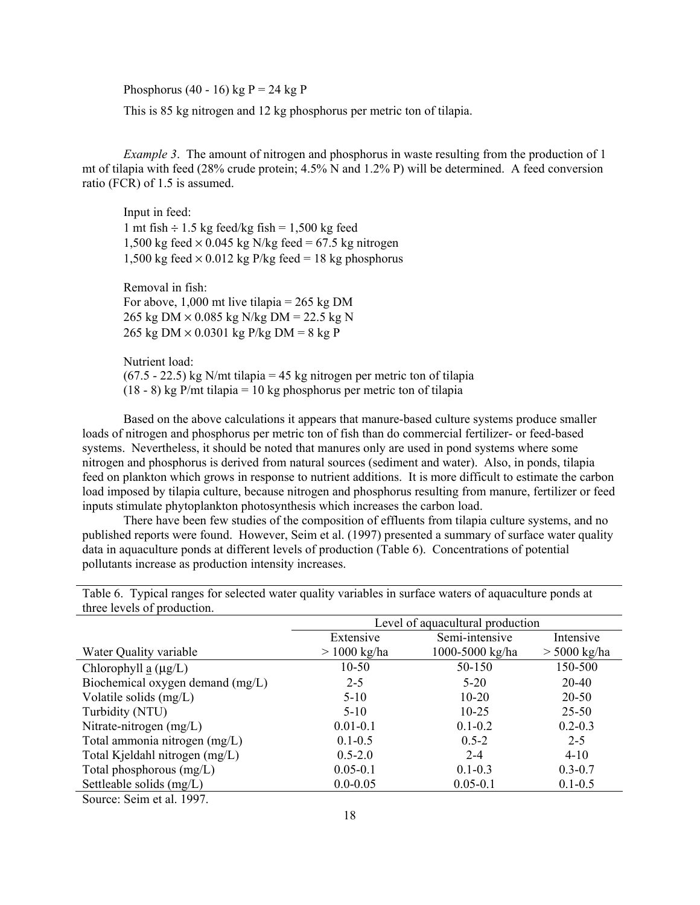Phosphorus (40 - 16) kg  $P = 24$  kg P

This is 85 kg nitrogen and 12 kg phosphorus per metric ton of tilapia.

Example 3. The amount of nitrogen and phosphorus in waste resulting from the production of 1 mt of tilapia with feed (28% crude protein; 4.5% N and 1.2% P) will be determined. A feed conversion ratio (FCR) of 1.5 is assumed.

 Input in feed: 1 mt fish  $\div$  1.5 kg feed/kg fish = 1,500 kg feed 1,500 kg feed  $\times$  0.045 kg N/kg feed = 67.5 kg nitrogen 1,500 kg feed  $\times$  0.012 kg P/kg feed = 18 kg phosphorus

Removal in fish: For above,  $1,000$  mt live tilapia = 265 kg DM 265 kg DM × 0.085 kg N/kg DM = 22.5 kg N 265 kg DM  $\times$  0.0301 kg P/kg DM = 8 kg P

 Nutrient load:  $(67.5 - 22.5)$  kg N/mt tilapia = 45 kg nitrogen per metric ton of tilapia  $(18 - 8)$  kg P/mt tilapia = 10 kg phosphorus per metric ton of tilapia

 Based on the above calculations it appears that manure-based culture systems produce smaller loads of nitrogen and phosphorus per metric ton of fish than do commercial fertilizer- or feed-based systems. Nevertheless, it should be noted that manures only are used in pond systems where some nitrogen and phosphorus is derived from natural sources (sediment and water). Also, in ponds, tilapia feed on plankton which grows in response to nutrient additions. It is more difficult to estimate the carbon load imposed by tilapia culture, because nitrogen and phosphorus resulting from manure, fertilizer or feed inputs stimulate phytoplankton photosynthesis which increases the carbon load.

 There have been few studies of the composition of effluents from tilapia culture systems, and no published reports were found. However, Seim et al. (1997) presented a summary of surface water quality data in aquaculture ponds at different levels of production (Table 6). Concentrations of potential pollutants increase as production intensity increases.

| unce levels of production.               |                                  |                 |                |  |  |
|------------------------------------------|----------------------------------|-----------------|----------------|--|--|
|                                          | Level of aquacultural production |                 |                |  |  |
|                                          | Semi-intensive<br>Extensive      |                 | Intensive      |  |  |
| Water Quality variable                   | $> 1000$ kg/ha                   | 1000-5000 kg/ha | $>$ 5000 kg/ha |  |  |
| Chlorophyll $\underline{a}$ ( $\mu$ g/L) | $10-50$                          | 50-150          | 150-500        |  |  |
| Biochemical oxygen demand (mg/L)         | $2 - 5$                          | $5-20$          | 20-40          |  |  |
| Volatile solids $(mg/L)$                 | $5-10$                           | $10 - 20$       | 20-50          |  |  |
| Turbidity (NTU)                          | $5-10$                           | $10 - 25$       | $25 - 50$      |  |  |
| Nitrate-nitrogen (mg/L)                  | $0.01 - 0.1$                     | $0.1 - 0.2$     | $0.2 - 0.3$    |  |  |
| Total ammonia nitrogen (mg/L)            | $0.1 - 0.5$                      | $0.5 - 2$       | $2 - 5$        |  |  |
| Total Kjeldahl nitrogen (mg/L)           | $0.5 - 2.0$                      | $2 - 4$         | $4 - 10$       |  |  |
| Total phosphorous (mg/L)                 | $0.05 - 0.1$                     | $0.1 - 0.3$     | $0.3 - 0.7$    |  |  |
| Settleable solids (mg/L)                 | $0.0 - 0.05$                     | $0.05 - 0.1$    | $0.1 - 0.5$    |  |  |
|                                          |                                  |                 |                |  |  |

Table 6. Typical ranges for selected water quality variables in surface waters of aquaculture ponds at three levels of production.

Source: Seim et al. 1997.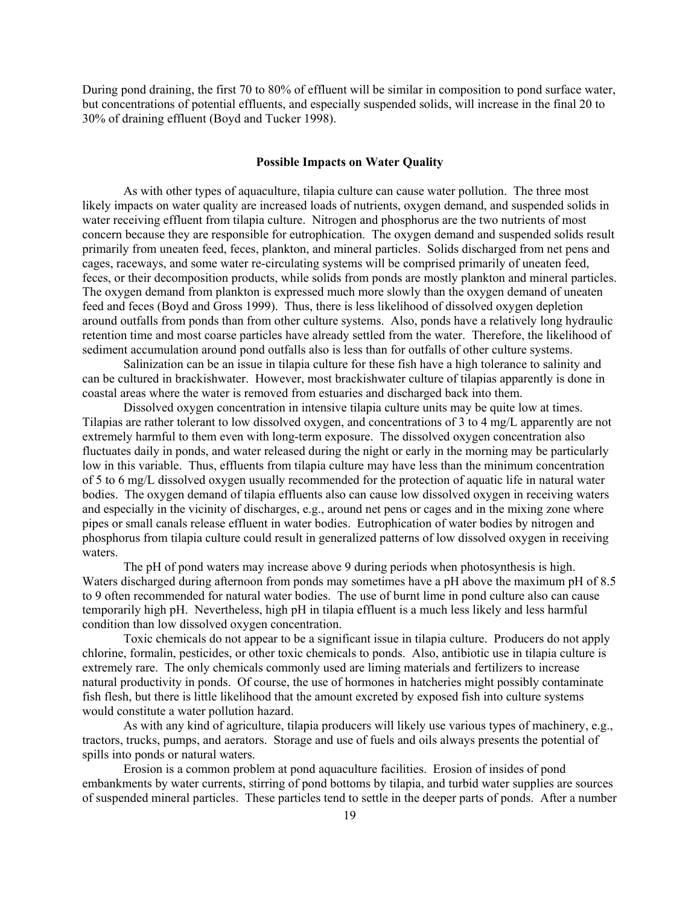During pond draining, the first 70 to 80% of effluent will be similar in composition to pond surface water, but concentrations of potential effluents, and especially suspended solids, will increase in the final 20 to 30% of draining effluent (Boyd and Tucker 1998).

#### Possible Impacts on Water Quality

 As with other types of aquaculture, tilapia culture can cause water pollution. The three most likely impacts on water quality are increased loads of nutrients, oxygen demand, and suspended solids in water receiving effluent from tilapia culture. Nitrogen and phosphorus are the two nutrients of most concern because they are responsible for eutrophication. The oxygen demand and suspended solids result primarily from uneaten feed, feces, plankton, and mineral particles. Solids discharged from net pens and cages, raceways, and some water re-circulating systems will be comprised primarily of uneaten feed, feces, or their decomposition products, while solids from ponds are mostly plankton and mineral particles. The oxygen demand from plankton is expressed much more slowly than the oxygen demand of uneaten feed and feces (Boyd and Gross 1999). Thus, there is less likelihood of dissolved oxygen depletion around outfalls from ponds than from other culture systems. Also, ponds have a relatively long hydraulic retention time and most coarse particles have already settled from the water. Therefore, the likelihood of sediment accumulation around pond outfalls also is less than for outfalls of other culture systems.

 Salinization can be an issue in tilapia culture for these fish have a high tolerance to salinity and can be cultured in brackishwater. However, most brackishwater culture of tilapias apparently is done in coastal areas where the water is removed from estuaries and discharged back into them.

 Dissolved oxygen concentration in intensive tilapia culture units may be quite low at times. Tilapias are rather tolerant to low dissolved oxygen, and concentrations of 3 to 4 mg/L apparently are not extremely harmful to them even with long-term exposure. The dissolved oxygen concentration also fluctuates daily in ponds, and water released during the night or early in the morning may be particularly low in this variable. Thus, effluents from tilapia culture may have less than the minimum concentration of 5 to 6 mg/L dissolved oxygen usually recommended for the protection of aquatic life in natural water bodies. The oxygen demand of tilapia effluents also can cause low dissolved oxygen in receiving waters and especially in the vicinity of discharges, e.g., around net pens or cages and in the mixing zone where pipes or small canals release effluent in water bodies. Eutrophication of water bodies by nitrogen and phosphorus from tilapia culture could result in generalized patterns of low dissolved oxygen in receiving waters.

 The pH of pond waters may increase above 9 during periods when photosynthesis is high. Waters discharged during afternoon from ponds may sometimes have a pH above the maximum pH of 8.5 to 9 often recommended for natural water bodies. The use of burnt lime in pond culture also can cause temporarily high pH. Nevertheless, high pH in tilapia effluent is a much less likely and less harmful condition than low dissolved oxygen concentration.

 Toxic chemicals do not appear to be a significant issue in tilapia culture. Producers do not apply chlorine, formalin, pesticides, or other toxic chemicals to ponds. Also, antibiotic use in tilapia culture is extremely rare. The only chemicals commonly used are liming materials and fertilizers to increase natural productivity in ponds. Of course, the use of hormones in hatcheries might possibly contaminate fish flesh, but there is little likelihood that the amount excreted by exposed fish into culture systems would constitute a water pollution hazard.

 As with any kind of agriculture, tilapia producers will likely use various types of machinery, e.g., tractors, trucks, pumps, and aerators. Storage and use of fuels and oils always presents the potential of spills into ponds or natural waters.

 Erosion is a common problem at pond aquaculture facilities. Erosion of insides of pond embankments by water currents, stirring of pond bottoms by tilapia, and turbid water supplies are sources of suspended mineral particles. These particles tend to settle in the deeper parts of ponds. After a number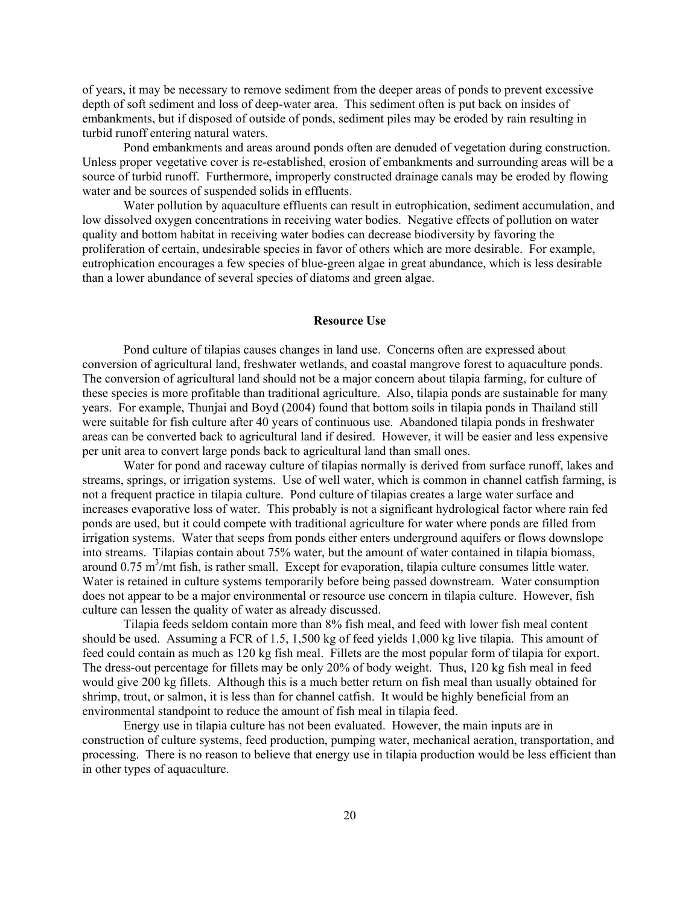of years, it may be necessary to remove sediment from the deeper areas of ponds to prevent excessive depth of soft sediment and loss of deep-water area. This sediment often is put back on insides of embankments, but if disposed of outside of ponds, sediment piles may be eroded by rain resulting in turbid runoff entering natural waters.

 Pond embankments and areas around ponds often are denuded of vegetation during construction. Unless proper vegetative cover is re-established, erosion of embankments and surrounding areas will be a source of turbid runoff. Furthermore, improperly constructed drainage canals may be eroded by flowing water and be sources of suspended solids in effluents.

 Water pollution by aquaculture effluents can result in eutrophication, sediment accumulation, and low dissolved oxygen concentrations in receiving water bodies. Negative effects of pollution on water quality and bottom habitat in receiving water bodies can decrease biodiversity by favoring the proliferation of certain, undesirable species in favor of others which are more desirable. For example, eutrophication encourages a few species of blue-green algae in great abundance, which is less desirable than a lower abundance of several species of diatoms and green algae.

# Resource Use

 Pond culture of tilapias causes changes in land use. Concerns often are expressed about conversion of agricultural land, freshwater wetlands, and coastal mangrove forest to aquaculture ponds. The conversion of agricultural land should not be a major concern about tilapia farming, for culture of these species is more profitable than traditional agriculture. Also, tilapia ponds are sustainable for many years. For example, Thunjai and Boyd (2004) found that bottom soils in tilapia ponds in Thailand still were suitable for fish culture after 40 years of continuous use. Abandoned tilapia ponds in freshwater areas can be converted back to agricultural land if desired. However, it will be easier and less expensive per unit area to convert large ponds back to agricultural land than small ones.

 Water for pond and raceway culture of tilapias normally is derived from surface runoff, lakes and streams, springs, or irrigation systems. Use of well water, which is common in channel catfish farming, is not a frequent practice in tilapia culture. Pond culture of tilapias creates a large water surface and increases evaporative loss of water. This probably is not a significant hydrological factor where rain fed ponds are used, but it could compete with traditional agriculture for water where ponds are filled from irrigation systems. Water that seeps from ponds either enters underground aquifers or flows downslope into streams. Tilapias contain about 75% water, but the amount of water contained in tilapia biomass, around  $0.75 \text{ m}^3/\text{mt}$  fish, is rather small. Except for evaporation, tilapia culture consumes little water. Water is retained in culture systems temporarily before being passed downstream. Water consumption does not appear to be a major environmental or resource use concern in tilapia culture. However, fish culture can lessen the quality of water as already discussed.

 Tilapia feeds seldom contain more than 8% fish meal, and feed with lower fish meal content should be used. Assuming a FCR of 1.5, 1,500 kg of feed yields 1,000 kg live tilapia. This amount of feed could contain as much as 120 kg fish meal. Fillets are the most popular form of tilapia for export. The dress-out percentage for fillets may be only 20% of body weight. Thus, 120 kg fish meal in feed would give 200 kg fillets. Although this is a much better return on fish meal than usually obtained for shrimp, trout, or salmon, it is less than for channel catfish. It would be highly beneficial from an environmental standpoint to reduce the amount of fish meal in tilapia feed.

 Energy use in tilapia culture has not been evaluated. However, the main inputs are in construction of culture systems, feed production, pumping water, mechanical aeration, transportation, and processing. There is no reason to believe that energy use in tilapia production would be less efficient than in other types of aquaculture.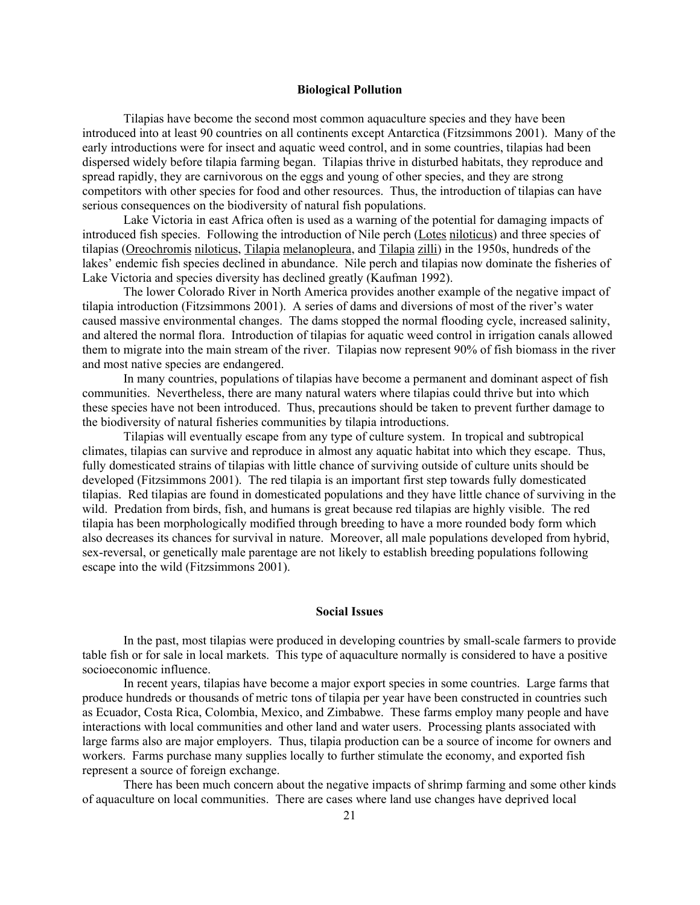## Biological Pollution

 Tilapias have become the second most common aquaculture species and they have been introduced into at least 90 countries on all continents except Antarctica (Fitzsimmons 2001). Many of the early introductions were for insect and aquatic weed control, and in some countries, tilapias had been dispersed widely before tilapia farming began. Tilapias thrive in disturbed habitats, they reproduce and spread rapidly, they are carnivorous on the eggs and young of other species, and they are strong competitors with other species for food and other resources. Thus, the introduction of tilapias can have serious consequences on the biodiversity of natural fish populations.

 Lake Victoria in east Africa often is used as a warning of the potential for damaging impacts of introduced fish species. Following the introduction of Nile perch (Lotes niloticus) and three species of tilapias (Oreochromis niloticus, Tilapia melanopleura, and Tilapia zilli) in the 1950s, hundreds of the lakes' endemic fish species declined in abundance. Nile perch and tilapias now dominate the fisheries of Lake Victoria and species diversity has declined greatly (Kaufman 1992).

 The lower Colorado River in North America provides another example of the negative impact of tilapia introduction (Fitzsimmons 2001). A series of dams and diversions of most of the river's water caused massive environmental changes. The dams stopped the normal flooding cycle, increased salinity, and altered the normal flora. Introduction of tilapias for aquatic weed control in irrigation canals allowed them to migrate into the main stream of the river. Tilapias now represent 90% of fish biomass in the river and most native species are endangered.

In many countries, populations of tilapias have become a permanent and dominant aspect of fish communities. Nevertheless, there are many natural waters where tilapias could thrive but into which these species have not been introduced. Thus, precautions should be taken to prevent further damage to the biodiversity of natural fisheries communities by tilapia introductions.

Tilapias will eventually escape from any type of culture system. In tropical and subtropical climates, tilapias can survive and reproduce in almost any aquatic habitat into which they escape. Thus, fully domesticated strains of tilapias with little chance of surviving outside of culture units should be developed (Fitzsimmons 2001). The red tilapia is an important first step towards fully domesticated tilapias. Red tilapias are found in domesticated populations and they have little chance of surviving in the wild. Predation from birds, fish, and humans is great because red tilapias are highly visible. The red tilapia has been morphologically modified through breeding to have a more rounded body form which also decreases its chances for survival in nature. Moreover, all male populations developed from hybrid, sex-reversal, or genetically male parentage are not likely to establish breeding populations following escape into the wild (Fitzsimmons 2001).

# Social Issues

 In the past, most tilapias were produced in developing countries by small-scale farmers to provide table fish or for sale in local markets. This type of aquaculture normally is considered to have a positive socioeconomic influence.

 In recent years, tilapias have become a major export species in some countries. Large farms that produce hundreds or thousands of metric tons of tilapia per year have been constructed in countries such as Ecuador, Costa Rica, Colombia, Mexico, and Zimbabwe. These farms employ many people and have interactions with local communities and other land and water users. Processing plants associated with large farms also are major employers. Thus, tilapia production can be a source of income for owners and workers. Farms purchase many supplies locally to further stimulate the economy, and exported fish represent a source of foreign exchange.

 There has been much concern about the negative impacts of shrimp farming and some other kinds of aquaculture on local communities. There are cases where land use changes have deprived local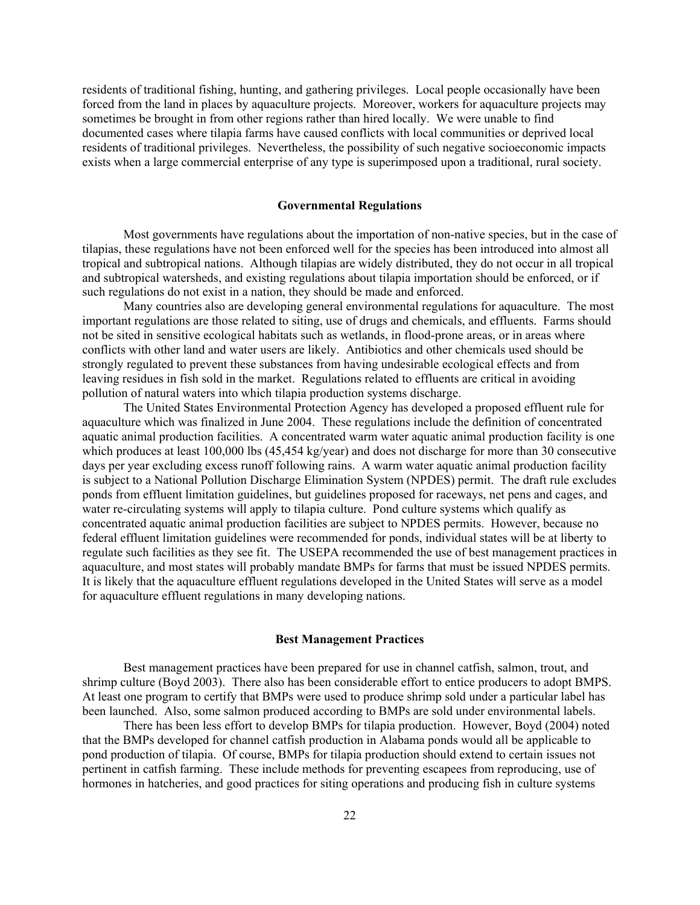residents of traditional fishing, hunting, and gathering privileges. Local people occasionally have been forced from the land in places by aquaculture projects. Moreover, workers for aquaculture projects may sometimes be brought in from other regions rather than hired locally. We were unable to find documented cases where tilapia farms have caused conflicts with local communities or deprived local residents of traditional privileges. Nevertheless, the possibility of such negative socioeconomic impacts exists when a large commercial enterprise of any type is superimposed upon a traditional, rural society.

### Governmental Regulations

 Most governments have regulations about the importation of non-native species, but in the case of tilapias, these regulations have not been enforced well for the species has been introduced into almost all tropical and subtropical nations. Although tilapias are widely distributed, they do not occur in all tropical and subtropical watersheds, and existing regulations about tilapia importation should be enforced, or if such regulations do not exist in a nation, they should be made and enforced.

 Many countries also are developing general environmental regulations for aquaculture. The most important regulations are those related to siting, use of drugs and chemicals, and effluents. Farms should not be sited in sensitive ecological habitats such as wetlands, in flood-prone areas, or in areas where conflicts with other land and water users are likely. Antibiotics and other chemicals used should be strongly regulated to prevent these substances from having undesirable ecological effects and from leaving residues in fish sold in the market. Regulations related to effluents are critical in avoiding pollution of natural waters into which tilapia production systems discharge.

 The United States Environmental Protection Agency has developed a proposed effluent rule for aquaculture which was finalized in June 2004. These regulations include the definition of concentrated aquatic animal production facilities. A concentrated warm water aquatic animal production facility is one which produces at least 100,000 lbs (45,454 kg/year) and does not discharge for more than 30 consecutive days per year excluding excess runoff following rains. A warm water aquatic animal production facility is subject to a National Pollution Discharge Elimination System (NPDES) permit. The draft rule excludes ponds from effluent limitation guidelines, but guidelines proposed for raceways, net pens and cages, and water re-circulating systems will apply to tilapia culture. Pond culture systems which qualify as concentrated aquatic animal production facilities are subject to NPDES permits. However, because no federal effluent limitation guidelines were recommended for ponds, individual states will be at liberty to regulate such facilities as they see fit. The USEPA recommended the use of best management practices in aquaculture, and most states will probably mandate BMPs for farms that must be issued NPDES permits. It is likely that the aquaculture effluent regulations developed in the United States will serve as a model for aquaculture effluent regulations in many developing nations.

# Best Management Practices

 Best management practices have been prepared for use in channel catfish, salmon, trout, and shrimp culture (Boyd 2003). There also has been considerable effort to entice producers to adopt BMPS. At least one program to certify that BMPs were used to produce shrimp sold under a particular label has been launched. Also, some salmon produced according to BMPs are sold under environmental labels.

 There has been less effort to develop BMPs for tilapia production. However, Boyd (2004) noted that the BMPs developed for channel catfish production in Alabama ponds would all be applicable to pond production of tilapia. Of course, BMPs for tilapia production should extend to certain issues not pertinent in catfish farming. These include methods for preventing escapees from reproducing, use of hormones in hatcheries, and good practices for siting operations and producing fish in culture systems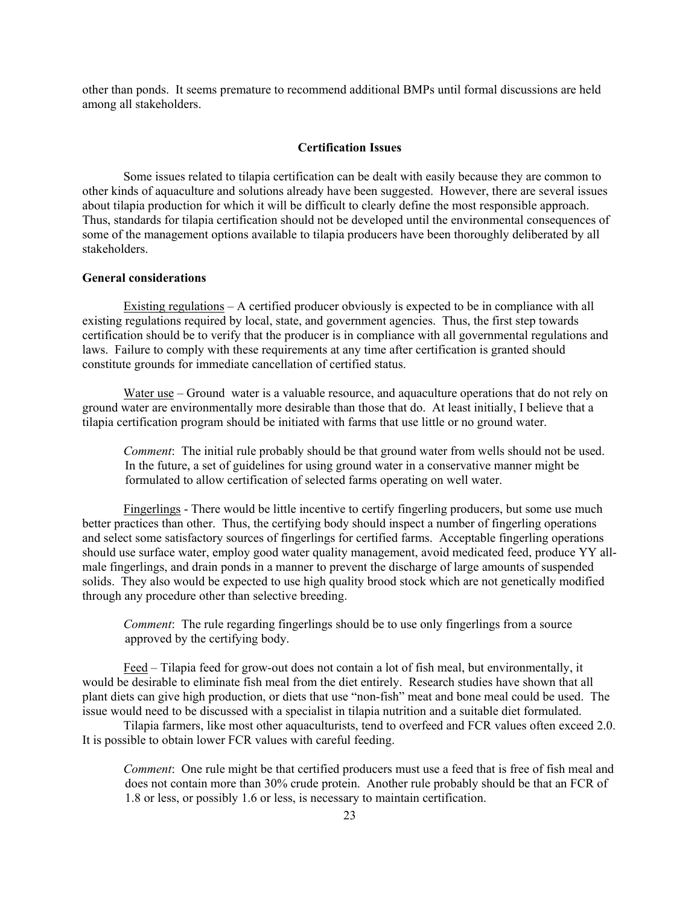other than ponds. It seems premature to recommend additional BMPs until formal discussions are held among all stakeholders.

## Certification Issues

 Some issues related to tilapia certification can be dealt with easily because they are common to other kinds of aquaculture and solutions already have been suggested. However, there are several issues about tilapia production for which it will be difficult to clearly define the most responsible approach. Thus, standards for tilapia certification should not be developed until the environmental consequences of some of the management options available to tilapia producers have been thoroughly deliberated by all stakeholders.

## General considerations

 Existing regulations – A certified producer obviously is expected to be in compliance with all existing regulations required by local, state, and government agencies. Thus, the first step towards certification should be to verify that the producer is in compliance with all governmental regulations and laws. Failure to comply with these requirements at any time after certification is granted should constitute grounds for immediate cancellation of certified status.

Water use – Ground water is a valuable resource, and aquaculture operations that do not rely on ground water are environmentally more desirable than those that do. At least initially, I believe that a tilapia certification program should be initiated with farms that use little or no ground water.

Comment: The initial rule probably should be that ground water from wells should not be used. In the future, a set of guidelines for using ground water in a conservative manner might be formulated to allow certification of selected farms operating on well water.

 Fingerlings - There would be little incentive to certify fingerling producers, but some use much better practices than other. Thus, the certifying body should inspect a number of fingerling operations and select some satisfactory sources of fingerlings for certified farms. Acceptable fingerling operations should use surface water, employ good water quality management, avoid medicated feed, produce YY allmale fingerlings, and drain ponds in a manner to prevent the discharge of large amounts of suspended solids. They also would be expected to use high quality brood stock which are not genetically modified through any procedure other than selective breeding.

Comment: The rule regarding fingerlings should be to use only fingerlings from a source approved by the certifying body.

 Feed – Tilapia feed for grow-out does not contain a lot of fish meal, but environmentally, it would be desirable to eliminate fish meal from the diet entirely. Research studies have shown that all plant diets can give high production, or diets that use "non-fish" meat and bone meal could be used. The issue would need to be discussed with a specialist in tilapia nutrition and a suitable diet formulated.

Tilapia farmers, like most other aquaculturists, tend to overfeed and FCR values often exceed 2.0. It is possible to obtain lower FCR values with careful feeding.

Comment: One rule might be that certified producers must use a feed that is free of fish meal and does not contain more than 30% crude protein. Another rule probably should be that an FCR of 1.8 or less, or possibly 1.6 or less, is necessary to maintain certification.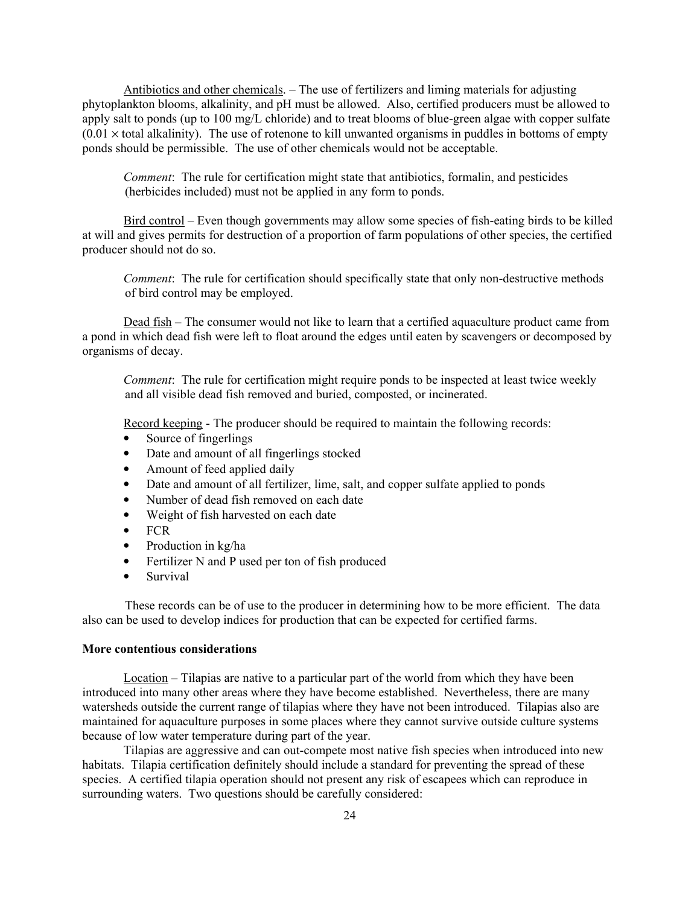Antibiotics and other chemicals. – The use of fertilizers and liming materials for adjusting phytoplankton blooms, alkalinity, and pH must be allowed. Also, certified producers must be allowed to apply salt to ponds (up to 100 mg/L chloride) and to treat blooms of blue-green algae with copper sulfate  $(0.01 \times$  total alkalinity). The use of rotenone to kill unwanted organisms in puddles in bottoms of empty ponds should be permissible. The use of other chemicals would not be acceptable.

Comment: The rule for certification might state that antibiotics, formalin, and pesticides (herbicides included) must not be applied in any form to ponds.

Bird control – Even though governments may allow some species of fish-eating birds to be killed at will and gives permits for destruction of a proportion of farm populations of other species, the certified producer should not do so.

Comment: The rule for certification should specifically state that only non-destructive methods of bird control may be employed.

Dead fish – The consumer would not like to learn that a certified aquaculture product came from a pond in which dead fish were left to float around the edges until eaten by scavengers or decomposed by organisms of decay.

Comment: The rule for certification might require ponds to be inspected at least twice weekly and all visible dead fish removed and buried, composted, or incinerated.

Record keeping - The producer should be required to maintain the following records:

- Source of fingerlings
- Date and amount of all fingerlings stocked
- Amount of feed applied daily
- Date and amount of all fertilizer, lime, salt, and copper sulfate applied to ponds
- Number of dead fish removed on each date
- Weight of fish harvested on each date
- FCR
- Production in kg/ha
- Fertilizer N and P used per ton of fish produced
- Survival

These records can be of use to the producer in determining how to be more efficient. The data also can be used to develop indices for production that can be expected for certified farms.

#### More contentious considerations

 Location – Tilapias are native to a particular part of the world from which they have been introduced into many other areas where they have become established. Nevertheless, there are many watersheds outside the current range of tilapias where they have not been introduced. Tilapias also are maintained for aquaculture purposes in some places where they cannot survive outside culture systems because of low water temperature during part of the year.

 Tilapias are aggressive and can out-compete most native fish species when introduced into new habitats. Tilapia certification definitely should include a standard for preventing the spread of these species. A certified tilapia operation should not present any risk of escapees which can reproduce in surrounding waters. Two questions should be carefully considered: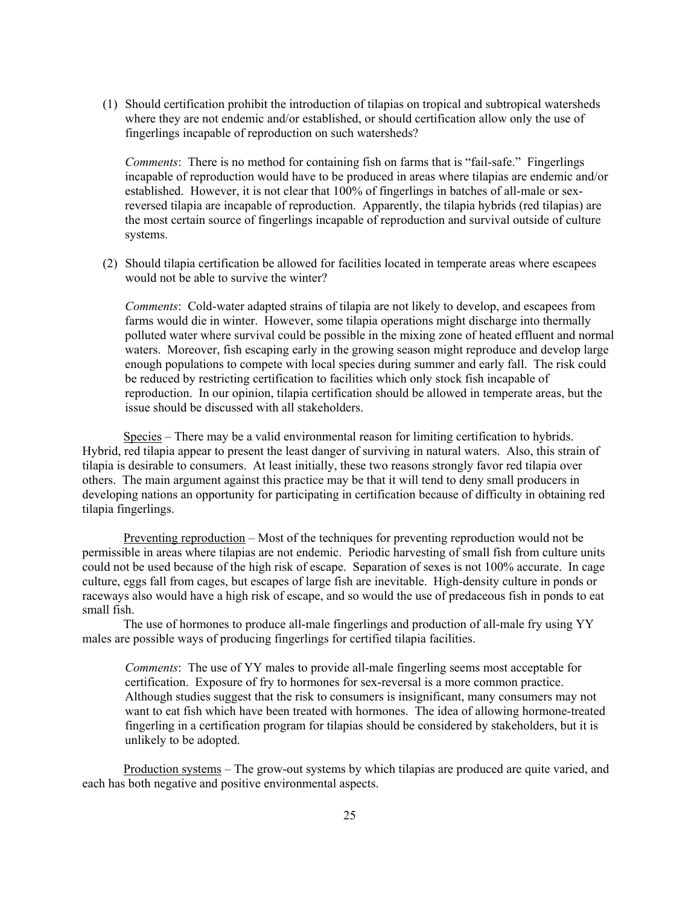(1) Should certification prohibit the introduction of tilapias on tropical and subtropical watersheds where they are not endemic and/or established, or should certification allow only the use of fingerlings incapable of reproduction on such watersheds?

Comments: There is no method for containing fish on farms that is "fail-safe." Fingerlings incapable of reproduction would have to be produced in areas where tilapias are endemic and/or established. However, it is not clear that 100% of fingerlings in batches of all-male or sexreversed tilapia are incapable of reproduction. Apparently, the tilapia hybrids (red tilapias) are the most certain source of fingerlings incapable of reproduction and survival outside of culture systems.

(2) Should tilapia certification be allowed for facilities located in temperate areas where escapees would not be able to survive the winter?

Comments: Cold-water adapted strains of tilapia are not likely to develop, and escapees from farms would die in winter. However, some tilapia operations might discharge into thermally polluted water where survival could be possible in the mixing zone of heated effluent and normal waters. Moreover, fish escaping early in the growing season might reproduce and develop large enough populations to compete with local species during summer and early fall. The risk could be reduced by restricting certification to facilities which only stock fish incapable of reproduction. In our opinion, tilapia certification should be allowed in temperate areas, but the issue should be discussed with all stakeholders.

 Species – There may be a valid environmental reason for limiting certification to hybrids. Hybrid, red tilapia appear to present the least danger of surviving in natural waters. Also, this strain of tilapia is desirable to consumers. At least initially, these two reasons strongly favor red tilapia over others. The main argument against this practice may be that it will tend to deny small producers in developing nations an opportunity for participating in certification because of difficulty in obtaining red tilapia fingerlings.

 Preventing reproduction – Most of the techniques for preventing reproduction would not be permissible in areas where tilapias are not endemic. Periodic harvesting of small fish from culture units could not be used because of the high risk of escape. Separation of sexes is not 100% accurate. In cage culture, eggs fall from cages, but escapes of large fish are inevitable. High-density culture in ponds or raceways also would have a high risk of escape, and so would the use of predaceous fish in ponds to eat small fish.

 The use of hormones to produce all-male fingerlings and production of all-male fry using YY males are possible ways of producing fingerlings for certified tilapia facilities.

Comments: The use of YY males to provide all-male fingerling seems most acceptable for certification. Exposure of fry to hormones for sex-reversal is a more common practice. Although studies suggest that the risk to consumers is insignificant, many consumers may not want to eat fish which have been treated with hormones. The idea of allowing hormone-treated fingerling in a certification program for tilapias should be considered by stakeholders, but it is unlikely to be adopted.

 Production systems – The grow-out systems by which tilapias are produced are quite varied, and each has both negative and positive environmental aspects.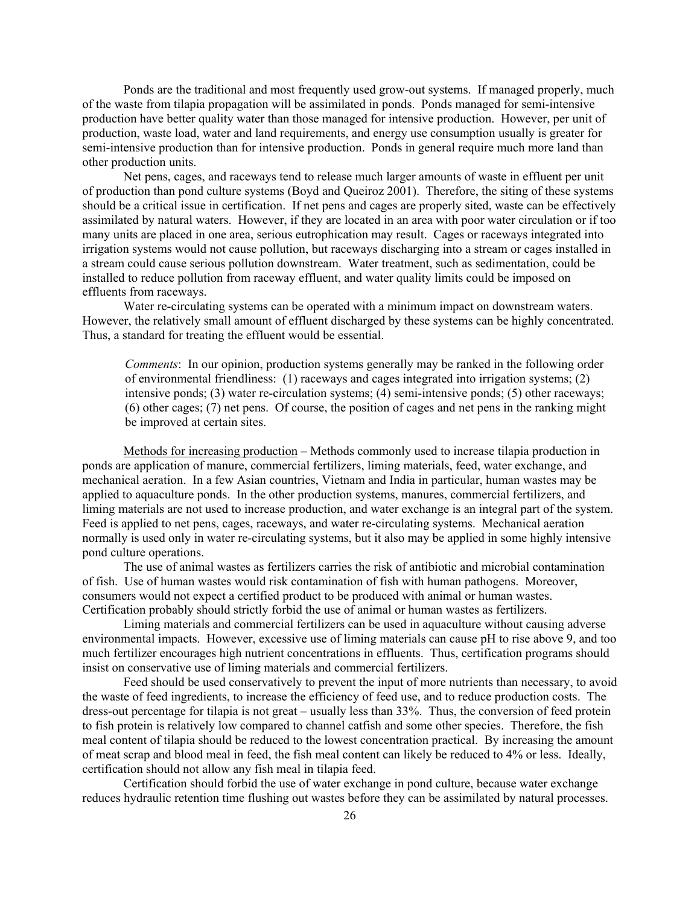Ponds are the traditional and most frequently used grow-out systems. If managed properly, much of the waste from tilapia propagation will be assimilated in ponds. Ponds managed for semi-intensive production have better quality water than those managed for intensive production. However, per unit of production, waste load, water and land requirements, and energy use consumption usually is greater for semi-intensive production than for intensive production. Ponds in general require much more land than other production units.

 Net pens, cages, and raceways tend to release much larger amounts of waste in effluent per unit of production than pond culture systems (Boyd and Queiroz 2001). Therefore, the siting of these systems should be a critical issue in certification. If net pens and cages are properly sited, waste can be effectively assimilated by natural waters. However, if they are located in an area with poor water circulation or if too many units are placed in one area, serious eutrophication may result. Cages or raceways integrated into irrigation systems would not cause pollution, but raceways discharging into a stream or cages installed in a stream could cause serious pollution downstream. Water treatment, such as sedimentation, could be installed to reduce pollution from raceway effluent, and water quality limits could be imposed on effluents from raceways.

 Water re-circulating systems can be operated with a minimum impact on downstream waters. However, the relatively small amount of effluent discharged by these systems can be highly concentrated. Thus, a standard for treating the effluent would be essential.

Comments: In our opinion, production systems generally may be ranked in the following order of environmental friendliness: (1) raceways and cages integrated into irrigation systems; (2) intensive ponds; (3) water re-circulation systems; (4) semi-intensive ponds; (5) other raceways; (6) other cages; (7) net pens. Of course, the position of cages and net pens in the ranking might be improved at certain sites.

 Methods for increasing production – Methods commonly used to increase tilapia production in ponds are application of manure, commercial fertilizers, liming materials, feed, water exchange, and mechanical aeration. In a few Asian countries, Vietnam and India in particular, human wastes may be applied to aquaculture ponds. In the other production systems, manures, commercial fertilizers, and liming materials are not used to increase production, and water exchange is an integral part of the system. Feed is applied to net pens, cages, raceways, and water re-circulating systems. Mechanical aeration normally is used only in water re-circulating systems, but it also may be applied in some highly intensive pond culture operations.

 The use of animal wastes as fertilizers carries the risk of antibiotic and microbial contamination of fish. Use of human wastes would risk contamination of fish with human pathogens. Moreover, consumers would not expect a certified product to be produced with animal or human wastes. Certification probably should strictly forbid the use of animal or human wastes as fertilizers.

 Liming materials and commercial fertilizers can be used in aquaculture without causing adverse environmental impacts. However, excessive use of liming materials can cause pH to rise above 9, and too much fertilizer encourages high nutrient concentrations in effluents. Thus, certification programs should insist on conservative use of liming materials and commercial fertilizers.

 Feed should be used conservatively to prevent the input of more nutrients than necessary, to avoid the waste of feed ingredients, to increase the efficiency of feed use, and to reduce production costs. The dress-out percentage for tilapia is not great – usually less than 33%. Thus, the conversion of feed protein to fish protein is relatively low compared to channel catfish and some other species. Therefore, the fish meal content of tilapia should be reduced to the lowest concentration practical. By increasing the amount of meat scrap and blood meal in feed, the fish meal content can likely be reduced to 4% or less. Ideally, certification should not allow any fish meal in tilapia feed.

 Certification should forbid the use of water exchange in pond culture, because water exchange reduces hydraulic retention time flushing out wastes before they can be assimilated by natural processes.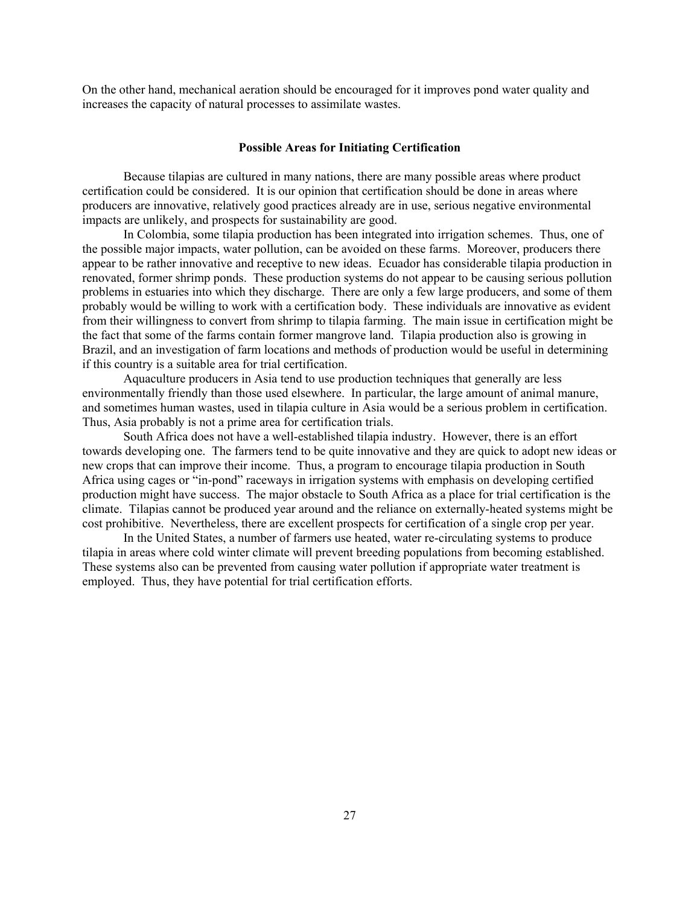On the other hand, mechanical aeration should be encouraged for it improves pond water quality and increases the capacity of natural processes to assimilate wastes.

#### Possible Areas for Initiating Certification

 Because tilapias are cultured in many nations, there are many possible areas where product certification could be considered. It is our opinion that certification should be done in areas where producers are innovative, relatively good practices already are in use, serious negative environmental impacts are unlikely, and prospects for sustainability are good.

 In Colombia, some tilapia production has been integrated into irrigation schemes. Thus, one of the possible major impacts, water pollution, can be avoided on these farms. Moreover, producers there appear to be rather innovative and receptive to new ideas. Ecuador has considerable tilapia production in renovated, former shrimp ponds. These production systems do not appear to be causing serious pollution problems in estuaries into which they discharge. There are only a few large producers, and some of them probably would be willing to work with a certification body. These individuals are innovative as evident from their willingness to convert from shrimp to tilapia farming. The main issue in certification might be the fact that some of the farms contain former mangrove land. Tilapia production also is growing in Brazil, and an investigation of farm locations and methods of production would be useful in determining if this country is a suitable area for trial certification.

 Aquaculture producers in Asia tend to use production techniques that generally are less environmentally friendly than those used elsewhere. In particular, the large amount of animal manure, and sometimes human wastes, used in tilapia culture in Asia would be a serious problem in certification. Thus, Asia probably is not a prime area for certification trials.

 South Africa does not have a well-established tilapia industry. However, there is an effort towards developing one. The farmers tend to be quite innovative and they are quick to adopt new ideas or new crops that can improve their income. Thus, a program to encourage tilapia production in South Africa using cages or "in-pond" raceways in irrigation systems with emphasis on developing certified production might have success. The major obstacle to South Africa as a place for trial certification is the climate. Tilapias cannot be produced year around and the reliance on externally-heated systems might be cost prohibitive. Nevertheless, there are excellent prospects for certification of a single crop per year.

 In the United States, a number of farmers use heated, water re-circulating systems to produce tilapia in areas where cold winter climate will prevent breeding populations from becoming established. These systems also can be prevented from causing water pollution if appropriate water treatment is employed. Thus, they have potential for trial certification efforts.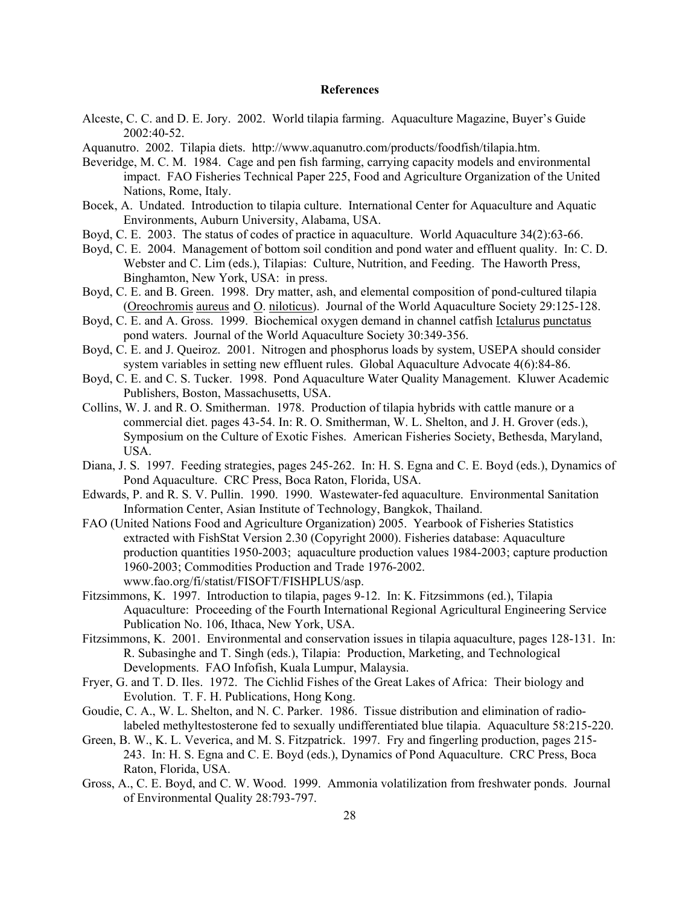#### References

- Alceste, C. C. and D. E. Jory. 2002. World tilapia farming. Aquaculture Magazine, Buyer's Guide 2002:40-52.
- Aquanutro. 2002. Tilapia diets. http://www.aquanutro.com/products/foodfish/tilapia.htm.
- Beveridge, M. C. M. 1984. Cage and pen fish farming, carrying capacity models and environmental impact. FAO Fisheries Technical Paper 225, Food and Agriculture Organization of the United Nations, Rome, Italy.
- Bocek, A. Undated. Introduction to tilapia culture. International Center for Aquaculture and Aquatic Environments, Auburn University, Alabama, USA.
- Boyd, C. E. 2003. The status of codes of practice in aquaculture. World Aquaculture 34(2):63-66.
- Boyd, C. E. 2004. Management of bottom soil condition and pond water and effluent quality. In: C. D. Webster and C. Lim (eds.), Tilapias: Culture, Nutrition, and Feeding. The Haworth Press, Binghamton, New York, USA: in press.
- Boyd, C. E. and B. Green. 1998. Dry matter, ash, and elemental composition of pond-cultured tilapia (Oreochromis aureus and O. niloticus). Journal of the World Aquaculture Society 29:125-128.
- Boyd, C. E. and A. Gross. 1999. Biochemical oxygen demand in channel catfish Ictalurus punctatus pond waters. Journal of the World Aquaculture Society 30:349-356.
- Boyd, C. E. and J. Queiroz. 2001. Nitrogen and phosphorus loads by system, USEPA should consider system variables in setting new effluent rules. Global Aquaculture Advocate 4(6):84-86.
- Boyd, C. E. and C. S. Tucker. 1998. Pond Aquaculture Water Quality Management. Kluwer Academic Publishers, Boston, Massachusetts, USA.
- Collins, W. J. and R. O. Smitherman. 1978. Production of tilapia hybrids with cattle manure or a commercial diet. pages 43-54. In: R. O. Smitherman, W. L. Shelton, and J. H. Grover (eds.), Symposium on the Culture of Exotic Fishes. American Fisheries Society, Bethesda, Maryland, USA.
- Diana, J. S. 1997. Feeding strategies, pages 245-262. In: H. S. Egna and C. E. Boyd (eds.), Dynamics of Pond Aquaculture. CRC Press, Boca Raton, Florida, USA.
- Edwards, P. and R. S. V. Pullin. 1990. 1990. Wastewater-fed aquaculture. Environmental Sanitation Information Center, Asian Institute of Technology, Bangkok, Thailand.
- FAO (United Nations Food and Agriculture Organization) 2005. Yearbook of Fisheries Statistics extracted with FishStat Version 2.30 (Copyright 2000). Fisheries database: Aquaculture production quantities 1950-2003; aquaculture production values 1984-2003; capture production 1960-2003; Commodities Production and Trade 1976-2002. www.fao.org/fi/statist/FISOFT/FISHPLUS/asp.
- Fitzsimmons, K. 1997. Introduction to tilapia, pages 9-12. In: K. Fitzsimmons (ed.), Tilapia Aquaculture: Proceeding of the Fourth International Regional Agricultural Engineering Service Publication No. 106, Ithaca, New York, USA.
- Fitzsimmons, K. 2001. Environmental and conservation issues in tilapia aquaculture, pages 128-131. In: R. Subasinghe and T. Singh (eds.), Tilapia: Production, Marketing, and Technological Developments. FAO Infofish, Kuala Lumpur, Malaysia.
- Fryer, G. and T. D. Iles. 1972. The Cichlid Fishes of the Great Lakes of Africa: Their biology and Evolution. T. F. H. Publications, Hong Kong.
- Goudie, C. A., W. L. Shelton, and N. C. Parker. 1986. Tissue distribution and elimination of radiolabeled methyltestosterone fed to sexually undifferentiated blue tilapia. Aquaculture 58:215-220.
- Green, B. W., K. L. Veverica, and M. S. Fitzpatrick. 1997. Fry and fingerling production, pages 215- 243. In: H. S. Egna and C. E. Boyd (eds.), Dynamics of Pond Aquaculture. CRC Press, Boca Raton, Florida, USA.
- Gross, A., C. E. Boyd, and C. W. Wood. 1999. Ammonia volatilization from freshwater ponds. Journal of Environmental Quality 28:793-797.